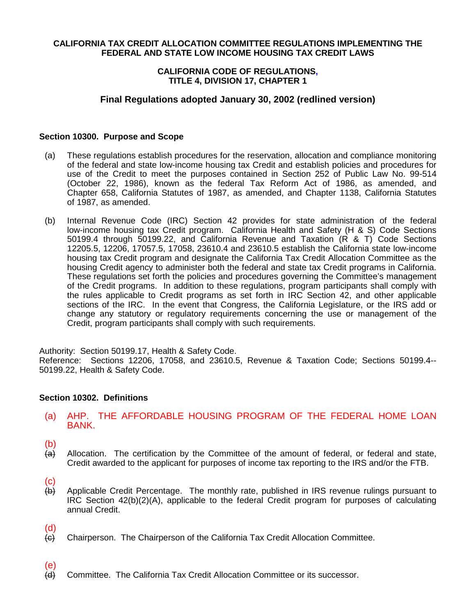### **CALIFORNIA TAX CREDIT ALLOCATION COMMITTEE REGULATIONS IMPLEMENTING THE FEDERAL AND STATE LOW INCOME HOUSING TAX CREDIT LAWS**

### **CALIFORNIA CODE OF REGULATIONS, TITLE 4, DIVISION 17, CHAPTER 1**

# **Final Regulations adopted January 30, 2002 (redlined version)**

### **Section 10300. Purpose and Scope**

- (a) These regulations establish procedures for the reservation, allocation and compliance monitoring of the federal and state low-income housing tax Credit and establish policies and procedures for use of the Credit to meet the purposes contained in Section 252 of Public Law No. 99-514 (October 22, 1986), known as the federal Tax Reform Act of 1986, as amended, and Chapter 658, California Statutes of 1987, as amended, and Chapter 1138, California Statutes of 1987, as amended.
- (b) Internal Revenue Code (IRC) Section 42 provides for state administration of the federal low-income housing tax Credit program. California Health and Safety (H & S) Code Sections 50199.4 through 50199.22, and California Revenue and Taxation (R & T) Code Sections 12205.5, 12206, 17057.5, 17058, 23610.4 and 23610.5 establish the California state low-income housing tax Credit program and designate the California Tax Credit Allocation Committee as the housing Credit agency to administer both the federal and state tax Credit programs in California. These regulations set forth the policies and procedures governing the Committee's management of the Credit programs. In addition to these regulations, program participants shall comply with the rules applicable to Credit programs as set forth in IRC Section 42, and other applicable sections of the IRC. In the event that Congress, the California Legislature, or the IRS add or change any statutory or regulatory requirements concerning the use or management of the Credit, program participants shall comply with such requirements.

Authority: Section 50199.17, Health & Safety Code. Reference: Sections 12206, 17058, and 23610.5, Revenue & Taxation Code; Sections 50199.4-- 50199.22, Health & Safety Code.

### **Section 10302. Definitions**

- (a) AHP. THE AFFORDABLE HOUSING PROGRAM OF THE FEDERAL HOME LOAN BANK.
- $\binom{b}{a}$
- Allocation. The certification by the Committee of the amount of federal, or federal and state, Credit awarded to the applicant for purposes of income tax reporting to the IRS and/or the FTB.
- 
- $\begin{array}{c} \text{(c)} \\ \text{(b)} \end{array}$ Applicable Credit Percentage. The monthly rate, published in IRS revenue rulings pursuant to IRC Section 42(b)(2)(A), applicable to the federal Credit program for purposes of calculating annual Credit.
- (d)

(e)

- $\overline{f}(c)$  Chairperson. The Chairperson of the California Tax Credit Allocation Committee.
- (d) Committee. The California Tax Credit Allocation Committee or its successor.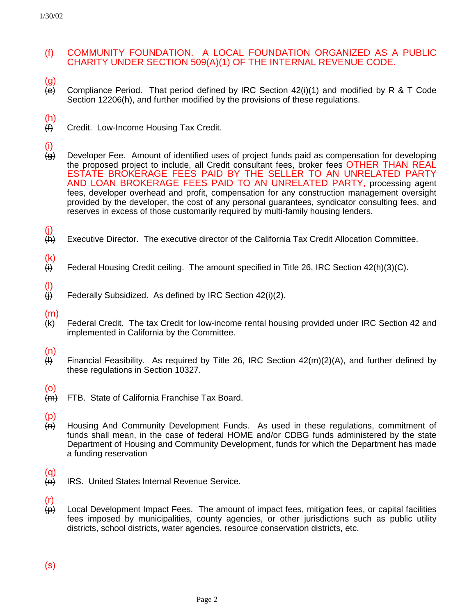# (f) COMMUNITY FOUNDATION. A LOCAL FOUNDATION ORGANIZED AS A PUBLIC CHARITY UNDER SECTION 509(A)(1) OF THE INTERNAL REVENUE CODE.

(g)

 $\overline{e}$  Compliance Period. That period defined by IRC Section 42(i)(1) and modified by R & T Code Section 12206(h), and further modified by the provisions of these regulations.

- $\frac{f(t)}{f(t)}$
- Credit. Low-Income Housing Tax Credit.
- (i)
- (g) Developer Fee. Amount of identified uses of project funds paid as compensation for developing the proposed project to include, all Credit consultant fees, broker fees OTHER THAN REAL ESTATE BROKERAGE FEES PAID BY THE SELLER TO AN UNRELATED PARTY AND LOAN BROKERAGE FEES PAID TO AN UNRELATED PARTY, processing agent fees, developer overhead and profit, compensation for any construction management oversight provided by the developer, the cost of any personal guarantees, syndicator consulting fees, and reserves in excess of those customarily required by multi-family housing lenders.
- $\frac{(\mathsf{j})}{(\mathsf{h})}$ Executive Director. The executive director of the California Tax Credit Allocation Committee.
- $\frac{(\mathsf{k})}{(\mathsf{i})}$ Federal Housing Credit ceiling. The amount specified in Title 26, IRC Section 42(h)(3)(C).
- $\frac{1}{1}$ Federally Subsidized. As defined by IRC Section 42(i)(2).
- (m)
- (k) Federal Credit. The tax Credit for low-income rental housing provided under IRC Section 42 and implemented in California by the Committee.
- (n)
- $\overline{H}$  Financial Feasibility. As required by Title 26, IRC Section 42(m)(2)(A), and further defined by these regulations in Section 10327.
- (o)
- (m) FTB. State of California Franchise Tax Board.
- (p)
- (n) Housing And Community Development Funds. As used in these regulations, commitment of funds shall mean, in the case of federal HOME and/or CDBG funds administered by the state Department of Housing and Community Development, funds for which the Department has made a funding reservation
- (q)
- (o) IRS. United States Internal Revenue Service.
- (r)
- $\leftrightarrow$  Local Development Impact Fees. The amount of impact fees, mitigation fees, or capital facilities fees imposed by municipalities, county agencies, or other jurisdictions such as public utility districts, school districts, water agencies, resource conservation districts, etc.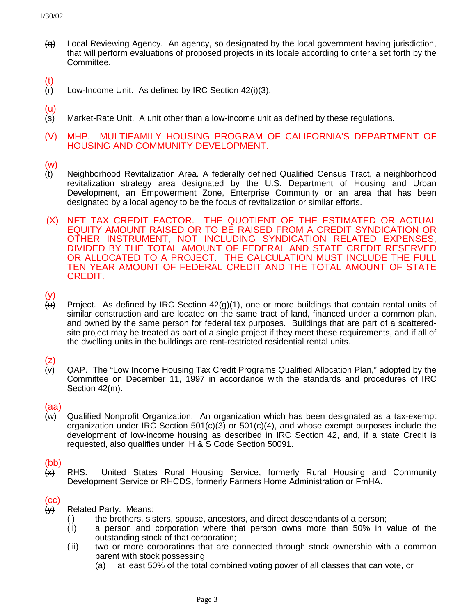- $\overline{+q}$  Local Reviewing Agency. An agency, so designated by the local government having jurisdiction, that will perform evaluations of proposed projects in its locale according to criteria set forth by the Committee.
- $\frac{f(t)}{f(t)}$
- Low-Income Unit. As defined by IRC Section 42(i)(3).
- (u)
- $\leftarrow$  Market-Rate Unit. A unit other than a low-income unit as defined by these regulations.
- (V) MHP. MULTIFAMILY HOUSING PROGRAM OF CALIFORNIA'S DEPARTMENT OF HOUSING AND COMMUNITY DEVELOPMENT.
- (w)
- (t) Neighborhood Revitalization Area. A federally defined Qualified Census Tract, a neighborhood revitalization strategy area designated by the U.S. Department of Housing and Urban Development, an Empowerment Zone, Enterprise Community or an area that has been designated by a local agency to be the focus of revitalization or similar efforts.
- (X) NET TAX CREDIT FACTOR. THE QUOTIENT OF THE ESTIMATED OR ACTUAL EQUITY AMOUNT RAISED OR TO BE RAISED FROM A CREDIT SYNDICATION OR OTHER INSTRUMENT, NOT INCLUDING SYNDICATION RELATED EXPENSES, DIVIDED BY THE TOTAL AMOUNT OF FEDERAL AND STATE CREDIT RESERVED OR ALLOCATED TO A PROJECT. THE CALCULATION MUST INCLUDE THE FULL TEN YEAR AMOUNT OF FEDERAL CREDIT AND THE TOTAL AMOUNT OF STATE CREDIT.
- $\begin{array}{c} (y) \\ \hline (u) \end{array}$
- Project. As defined by IRC Section  $42(q)(1)$ , one or more buildings that contain rental units of similar construction and are located on the same tract of land, financed under a common plan, and owned by the same person for federal tax purposes. Buildings that are part of a scatteredsite project may be treated as part of a single project if they meet these requirements, and if all of the dwelling units in the buildings are rent-restricted residential rental units.

 $\begin{array}{c} (Z) \\ (\vee) \end{array}$ QAP. The "Low Income Housing Tax Credit Programs Qualified Allocation Plan," adopted by the Committee on December 11, 1997 in accordance with the standards and procedures of IRC Section 42(m).

# (aa)

(w) Qualified Nonprofit Organization. An organization which has been designated as a tax-exempt organization under IRC Section  $501(c)(3)$  or  $501(c)(4)$ , and whose exempt purposes include the development of low-income housing as described in IRC Section 42, and, if a state Credit is requested, also qualifies under H & S Code Section 50091.

# (bb)

 $\leftrightarrow$  RHS. United States Rural Housing Service, formerly Rural Housing and Community Development Service or RHCDS, formerly Farmers Home Administration or FmHA.

# (cc)

- $\leftrightarrow$  Related Party. Means:
	- (i) the brothers, sisters, spouse, ancestors, and direct descendants of a person;
	- (ii) a person and corporation where that person owns more than 50% in value of the outstanding stock of that corporation;
	- (iii) two or more corporations that are connected through stock ownership with a common parent with stock possessing
		- (a) at least 50% of the total combined voting power of all classes that can vote, or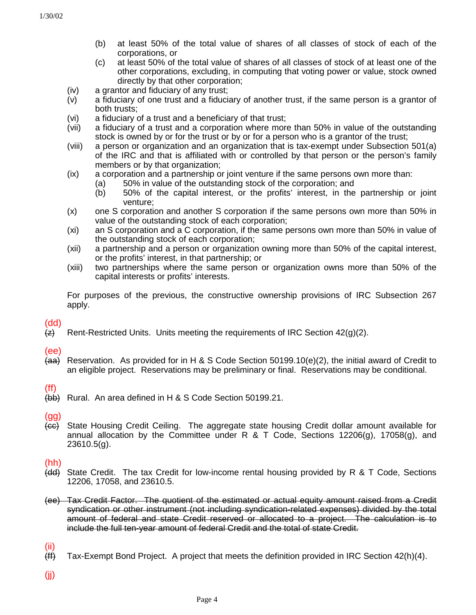- (b) at least 50% of the total value of shares of all classes of stock of each of the corporations, or
- (c) at least 50% of the total value of shares of all classes of stock of at least one of the other corporations, excluding, in computing that voting power or value, stock owned directly by that other corporation;
- (iv) a grantor and fiduciary of any trust;
- (v) a fiduciary of one trust and a fiduciary of another trust, if the same person is a grantor of both trusts;
- (vi) a fiduciary of a trust and a beneficiary of that trust;
- (vii) a fiduciary of a trust and a corporation where more than 50% in value of the outstanding stock is owned by or for the trust or by or for a person who is a grantor of the trust;
- (viii) a person or organization and an organization that is tax-exempt under Subsection 501(a) of the IRC and that is affiliated with or controlled by that person or the person's family members or by that organization;
- (ix) a corporation and a partnership or joint venture if the same persons own more than:
	- (a) 50% in value of the outstanding stock of the corporation; and
	- (b) 50% of the capital interest, or the profits' interest, in the partnership or joint venture;
- (x) one S corporation and another S corporation if the same persons own more than 50% in value of the outstanding stock of each corporation;
- (xi) an S corporation and a C corporation, if the same persons own more than 50% in value of the outstanding stock of each corporation;
- (xii) a partnership and a person or organization owning more than 50% of the capital interest, or the profits' interest, in that partnership; or
- (xiii) two partnerships where the same person or organization owns more than 50% of the capital interests or profits' interests.

For purposes of the previous, the constructive ownership provisions of IRC Subsection 267 apply.

(dd)

 $\overline{f(z)}$  Rent-Restricted Units. Units meeting the requirements of IRC Section 42(g)(2).

# (ee)

 $\overline{A}$  Reservation. As provided for in H & S Code Section 50199.10(e)(2), the initial award of Credit to an eligible project. Reservations may be preliminary or final. Reservations may be conditional.

# (ff)

(bb) Rural. An area defined in H & S Code Section 50199.21.

### (gg)

(cc) State Housing Credit Ceiling. The aggregate state housing Credit dollar amount available for annual allocation by the Committee under R & T Code, Sections 12206(g), 17058(g), and 23610.5(g).

### (hh)

- (dd) State Credit. The tax Credit for low-income rental housing provided by R & T Code, Sections 12206, 17058, and 23610.5.
- (ee) Tax Credit Factor. The quotient of the estimated or actual equity amount raised from a Credit syndication or other instrument (not including syndication-related expenses) divided by the total amount of federal and state Credit reserved or allocated to a project. The calculation is to include the full ten-year amount of federal Credit and the total of state Credit.

 $\frac{\text{(ii)}}{\text{(ff)}}$ 

Tax-Exempt Bond Project. A project that meets the definition provided in IRC Section  $42(h)(4)$ .

(jj)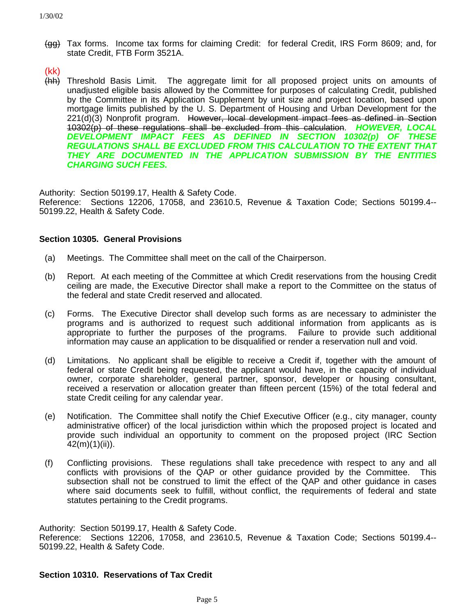(gg) Tax forms. Income tax forms for claiming Credit: for federal Credit, IRS Form 8609; and, for state Credit, FTB Form 3521A.

(kk)

(hh) Threshold Basis Limit. The aggregate limit for all proposed project units on amounts of unadjusted eligible basis allowed by the Committee for purposes of calculating Credit, published by the Committee in its Application Supplement by unit size and project location, based upon mortgage limits published by the U. S. Department of Housing and Urban Development for the  $221(d)(3)$  Nonprofit program. However, local development impact fees as defined in Section 10302(p) of these regulations shall be excluded from this calculation. *HOWEVER, LOCAL DEVELOPMENT IMPACT FEES AS DEFINED IN SECTION 10302(p) OF THESE REGULATIONS SHALL BE EXCLUDED FROM THIS CALCULATION TO THE EXTENT THAT THEY ARE DOCUMENTED IN THE APPLICATION SUBMISSION BY THE ENTITIES CHARGING SUCH FEES.*

Authority: Section 50199.17, Health & Safety Code.

Reference: Sections 12206, 17058, and 23610.5, Revenue & Taxation Code; Sections 50199.4-- 50199.22, Health & Safety Code.

### **Section 10305. General Provisions**

- (a) Meetings. The Committee shall meet on the call of the Chairperson.
- (b) Report. At each meeting of the Committee at which Credit reservations from the housing Credit ceiling are made, the Executive Director shall make a report to the Committee on the status of the federal and state Credit reserved and allocated.
- (c) Forms. The Executive Director shall develop such forms as are necessary to administer the programs and is authorized to request such additional information from applicants as is appropriate to further the purposes of the programs. Failure to provide such additional information may cause an application to be disqualified or render a reservation null and void.
- (d) Limitations. No applicant shall be eligible to receive a Credit if, together with the amount of federal or state Credit being requested, the applicant would have, in the capacity of individual owner, corporate shareholder, general partner, sponsor, developer or housing consultant, received a reservation or allocation greater than fifteen percent (15%) of the total federal and state Credit ceiling for any calendar year.
- (e) Notification. The Committee shall notify the Chief Executive Officer (e.g., city manager, county administrative officer) of the local jurisdiction within which the proposed project is located and provide such individual an opportunity to comment on the proposed project (IRC Section 42(m)(1)(ii)).
- (f) Conflicting provisions. These regulations shall take precedence with respect to any and all conflicts with provisions of the QAP or other guidance provided by the Committee. This subsection shall not be construed to limit the effect of the QAP and other guidance in cases where said documents seek to fulfill, without conflict, the requirements of federal and state statutes pertaining to the Credit programs.

Authority: Section 50199.17, Health & Safety Code. Reference: Sections 12206, 17058, and 23610.5, Revenue & Taxation Code; Sections 50199.4-- 50199.22, Health & Safety Code.

### **Section 10310. Reservations of Tax Credit**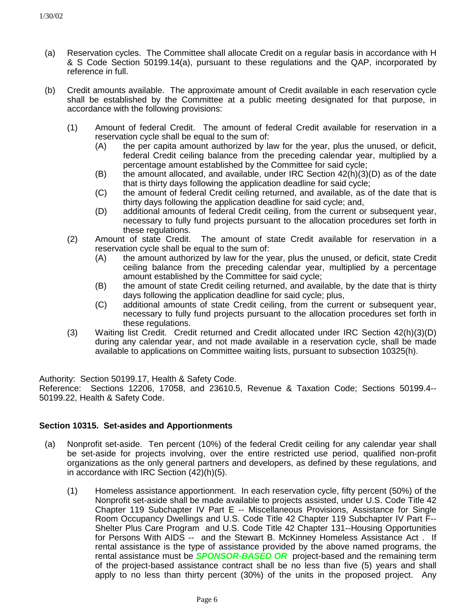- (a) Reservation cycles. The Committee shall allocate Credit on a regular basis in accordance with H & S Code Section 50199.14(a), pursuant to these regulations and the QAP, incorporated by reference in full.
- (b) Credit amounts available. The approximate amount of Credit available in each reservation cycle shall be established by the Committee at a public meeting designated for that purpose, in accordance with the following provisions:
	- (1) Amount of federal Credit. The amount of federal Credit available for reservation in a reservation cycle shall be equal to the sum of:
		- (A) the per capita amount authorized by law for the year, plus the unused, or deficit, federal Credit ceiling balance from the preceding calendar year, multiplied by a percentage amount established by the Committee for said cycle;
		- $(B)$  the amount allocated, and available, under IRC Section  $42(h)(3)(D)$  as of the date that is thirty days following the application deadline for said cycle;
		- (C) the amount of federal Credit ceiling returned, and available, as of the date that is thirty days following the application deadline for said cycle; and,
		- (D) additional amounts of federal Credit ceiling, from the current or subsequent year, necessary to fully fund projects pursuant to the allocation procedures set forth in these regulations.
	- (2) Amount of state Credit. The amount of state Credit available for reservation in a reservation cycle shall be equal to the sum of:
		- (A) the amount authorized by law for the year, plus the unused, or deficit, state Credit ceiling balance from the preceding calendar year, multiplied by a percentage amount established by the Committee for said cycle;
		- (B) the amount of state Credit ceiling returned, and available, by the date that is thirty days following the application deadline for said cycle; plus,
		- (C) additional amounts of state Credit ceiling, from the current or subsequent year, necessary to fully fund projects pursuant to the allocation procedures set forth in these regulations.
	- (3) Waiting list Credit. Credit returned and Credit allocated under IRC Section 42(h)(3)(D) during any calendar year, and not made available in a reservation cycle, shall be made available to applications on Committee waiting lists, pursuant to subsection 10325(h).

Authority: Section 50199.17, Health & Safety Code.

Reference: Sections 12206, 17058, and 23610.5, Revenue & Taxation Code; Sections 50199.4-- 50199.22, Health & Safety Code.

### **Section 10315. Set-asides and Apportionments**

- (a) Nonprofit set-aside. Ten percent (10%) of the federal Credit ceiling for any calendar year shall be set-aside for projects involving, over the entire restricted use period, qualified non-profit organizations as the only general partners and developers, as defined by these regulations, and in accordance with IRC Section (42)(h)(5).
	- (1) Homeless assistance apportionment. In each reservation cycle, fifty percent (50%) of the Nonprofit set-aside shall be made available to projects assisted, under U.S. Code Title 42 Chapter 119 Subchapter IV Part E -- Miscellaneous Provisions, Assistance for Single Room Occupancy Dwellings and U.S. Code Title 42 Chapter 119 Subchapter IV Part F-- Shelter Plus Care Program and U.S. Code Title 42 Chapter 131--Housing Opportunities for Persons With AIDS -- and the Stewart B. McKinney Homeless Assistance Act . If rental assistance is the type of assistance provided by the above named programs, the rental assistance must be *SPONSOR-BASED OR* project-based and the remaining term of the project-based assistance contract shall be no less than five (5) years and shall apply to no less than thirty percent (30%) of the units in the proposed project. Any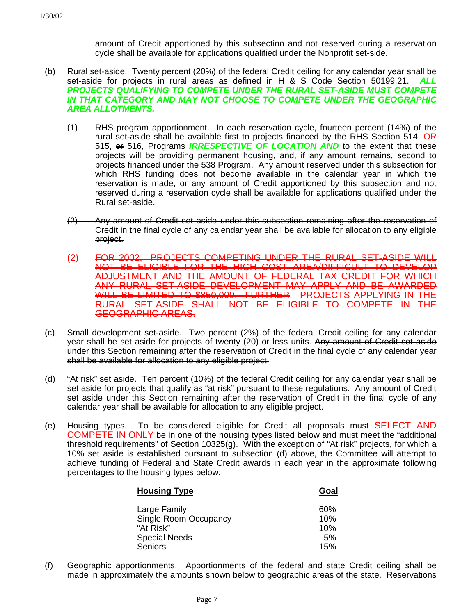amount of Credit apportioned by this subsection and not reserved during a reservation cycle shall be available for applications qualified under the Nonprofit set-side.

- (b) Rural set-aside. Twenty percent (20%) of the federal Credit ceiling for any calendar year shall be set-aside for projects in rural areas as defined in H & S Code Section 50199.21. *ALL PROJECTS QUALIFYING TO COMPETE UNDER THE RURAL SET-ASIDE MUST COMPETE IN THAT CATEGORY AND MAY NOT CHOOSE TO COMPETE UNDER THE GEOGRAPHIC AREA ALLOTMENTS.*
	- (1) RHS program apportionment. In each reservation cycle, fourteen percent (14%) of the rural set-aside shall be available first to projects financed by the RHS Section 514, OR 515, <del>or</del> 546, Programs *IRRESPECTIVE OF LOCATION AND* to the extent that these projects will be providing permanent housing, and, if any amount remains, second to projects financed under the 538 Program. Any amount reserved under this subsection for which RHS funding does not become available in the calendar year in which the reservation is made, or any amount of Credit apportioned by this subsection and not reserved during a reservation cycle shall be available for applications qualified under the Rural set-aside.
	- (2) Any amount of Credit set aside under this subsection remaining after the reservation of Credit in the final cycle of any calendar year shall be available for allocation to any eligible project.
	- (2) FOR 2002, PROJECTS COMPETING UNDER THE RURAL SET-ASIDE WILL NOT BE ELIGIBLE FOR THE HIGH COST AREA/DIFFICULT TO DEVELOP ADJUSTMENT AND THE AMOUNT OF FEDERAL TAX CREDIT FOR WHICH ANY RURAL SET-ASIDE DEVELOPMENT MAY APPLY AND BE AWARDED WILL BE LIMITED TO \$850,000. FURTHER, PROJECTS APPLYING IN THE RURAL SET-ASIDE SHALL NOT BE ELIGIBLE TO COMPETE IN THE GEOGRAPHIC AREAS.
- (c) Small development set-aside. Two percent (2%) of the federal Credit ceiling for any calendar year shall be set aside for projects of twenty (20) or less units. Any amount of Credit set aside under this Section remaining after the reservation of Credit in the final cycle of any calendar year shall be available for allocation to any eligible project.
- (d) "At risk" set aside. Ten percent (10%) of the federal Credit ceiling for any calendar year shall be set aside for projects that qualify as "at risk" pursuant to these regulations. Any amount of Credit set aside under this Section remaining after the reservation of Credit in the final cycle of any calendar year shall be available for allocation to any eligible project.
- (e) Housing types. To be considered eligible for Credit all proposals must SELECT AND COMPETE IN ONLY be in one of the housing types listed below and must meet the "additional threshold requirements" of Section 10325(g). With the exception of "At risk" projects, for which a 10% set aside is established pursuant to subsection (d) above, the Committee will attempt to achieve funding of Federal and State Credit awards in each year in the approximate following percentages to the housing types below:

| <b>Housing Type</b>   | Goal |
|-----------------------|------|
| Large Family          | 60%  |
| Single Room Occupancy | 10%  |
| "At Risk"             | 10%  |
| <b>Special Needs</b>  | 5%   |
| <b>Seniors</b>        | 15%  |

(f) Geographic apportionments. Apportionments of the federal and state Credit ceiling shall be made in approximately the amounts shown below to geographic areas of the state. Reservations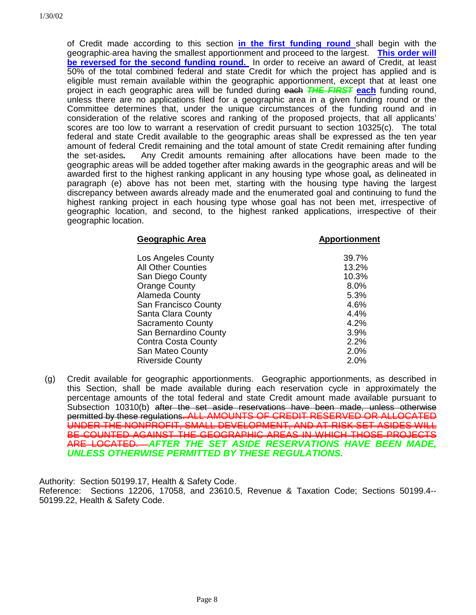of Credit made according to this section **in the first funding round** shall begin with the geographic area having the smallest apportionment and proceed to the largest. **This order will be reversed for the second funding round.** In order to receive an award of Credit, at least 50% of the total combined federal and state Credit for which the project has applied and is eligible must remain available within the geographic apportionment, except that at least one project in each geographic area will be funded during each *THE FIRST* **each** funding round, unless there are no applications filed for a geographic area in a given funding round or the Committee determines that, under the unique circumstances of the funding round and in consideration of the relative scores and ranking of the proposed projects, that all applicants' scores are too low to warrant a reservation of credit pursuant to section 10325(c). The total federal and state Credit available to the geographic areas shall be expressed as the ten year amount of federal Credit remaining and the total amount of state Credit remaining after funding the set-asides*.* Any Credit amounts remaining after allocations have been made to the geographic areas will be added together after making awards in the geographic areas and will be awarded first to the highest ranking applicant in any housing type whose goal*,* as delineated in paragraph (e) above has not been met, starting with the housing type having the largest discrepancy between awards already made and the enumerated goal and continuing to fund the highest ranking project in each housing type whose goal has not been met, irrespective of geographic location, and second, to the highest ranked applications, irrespective of their geographic location.

| <b>Geographic Area</b>     | <b>Apportionment</b> |
|----------------------------|----------------------|
| Los Angeles County         | 39.7%                |
| <b>All Other Counties</b>  | 13.2%                |
| San Diego County           | 10.3%                |
| <b>Orange County</b>       | 8.0%                 |
| Alameda County             | 5.3%                 |
| San Francisco County       | 4.6%                 |
| Santa Clara County         | 4.4%                 |
| <b>Sacramento County</b>   | 4.2%                 |
| San Bernardino County      | $3.9\%$              |
| <b>Contra Costa County</b> | 2.2%                 |
| San Mateo County           | 2.0%                 |
| <b>Riverside County</b>    | $2.0\%$              |

(g) Credit available for geographic apportionments. Geographic apportionments, as described in this Section, shall be made available during each reservation cycle in approximately the percentage amounts of the total federal and state Credit amount made available pursuant to Subsection 10310(b) after the set aside reservations have been made, unless otherwise permitted by these regulations. ALL AMOUNTS OF CREDIT RESERVED OR ALLOCATED UNDER THE NONPROFIT, SMALL DEVELOPMENT, AND AT-RISK SET-ASIDES WILL BE COUNTED AGAINST THE GEOGRAPHIC AREAS IN WHICH THOSE PROJECTS ARE LOCATED. *AFTER THE SET ASIDE RESERVATIONS HAVE BEEN MADE, UNLESS OTHERWISE PERMITTED BY THESE REGULATIONS.*

Authority: Section 50199.17, Health & Safety Code.

Reference: Sections 12206, 17058, and 23610.5, Revenue & Taxation Code; Sections 50199.4-- 50199.22, Health & Safety Code.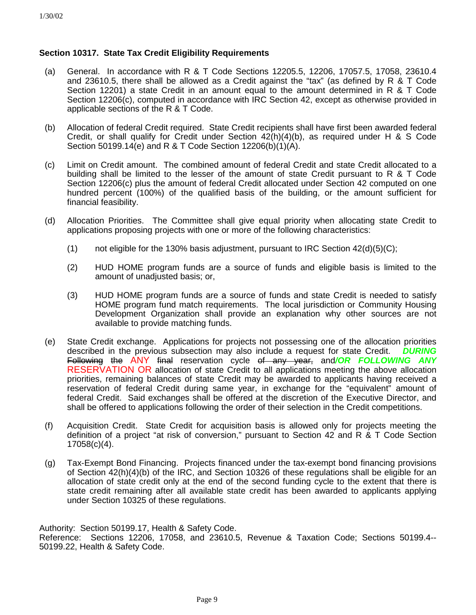### **Section 10317. State Tax Credit Eligibility Requirements**

- (a) General. In accordance with R & T Code Sections 12205.5, 12206, 17057.5, 17058, 23610.4 and 23610.5, there shall be allowed as a Credit against the "tax" (as defined by R & T Code Section 12201) a state Credit in an amount equal to the amount determined in R & T Code Section 12206(c), computed in accordance with IRC Section 42, except as otherwise provided in applicable sections of the R & T Code.
- (b) Allocation of federal Credit required. State Credit recipients shall have first been awarded federal Credit, or shall qualify for Credit under Section 42(h)(4)(b), as required under H & S Code Section 50199.14(e) and R & T Code Section 12206(b)(1)(A).
- (c) Limit on Credit amount. The combined amount of federal Credit and state Credit allocated to a building shall be limited to the lesser of the amount of state Credit pursuant to R & T Code Section 12206(c) plus the amount of federal Credit allocated under Section 42 computed on one hundred percent (100%) of the qualified basis of the building, or the amount sufficient for financial feasibility.
- (d) Allocation Priorities. The Committee shall give equal priority when allocating state Credit to applications proposing projects with one or more of the following characteristics:
	- (1) not eligible for the 130% basis adjustment, pursuant to IRC Section  $42(d)(5)(C)$ ;
	- (2) HUD HOME program funds are a source of funds and eligible basis is limited to the amount of unadjusted basis; or,
	- (3) HUD HOME program funds are a source of funds and state Credit is needed to satisfy HOME program fund match requirements. The local jurisdiction or Community Housing Development Organization shall provide an explanation why other sources are not available to provide matching funds.
- (e) State Credit exchange. Applications for projects not possessing one of the allocation priorities described in the previous subsection may also include a request for state Credit. *DURING* Following the ANY final reservation cycle of any year, and*/OR FOLLOWING ANY* RESERVATION OR allocation of state Credit to all applications meeting the above allocation priorities, remaining balances of state Credit may be awarded to applicants having received a reservation of federal Credit during same year, in exchange for the "equivalent" amount of federal Credit. Said exchanges shall be offered at the discretion of the Executive Director, and shall be offered to applications following the order of their selection in the Credit competitions.
- (f) Acquisition Credit. State Credit for acquisition basis is allowed only for projects meeting the definition of a project "at risk of conversion," pursuant to Section 42 and R & T Code Section 17058(c)(4).
- (g) Tax-Exempt Bond Financing. Projects financed under the tax-exempt bond financing provisions of Section 42(h)(4)(b) of the IRC, and Section 10326 of these regulations shall be eligible for an allocation of state credit only at the end of the second funding cycle to the extent that there is state credit remaining after all available state credit has been awarded to applicants applying under Section 10325 of these regulations.

Authority: Section 50199.17, Health & Safety Code. Reference: Sections 12206, 17058, and 23610.5, Revenue & Taxation Code; Sections 50199.4-- 50199.22, Health & Safety Code.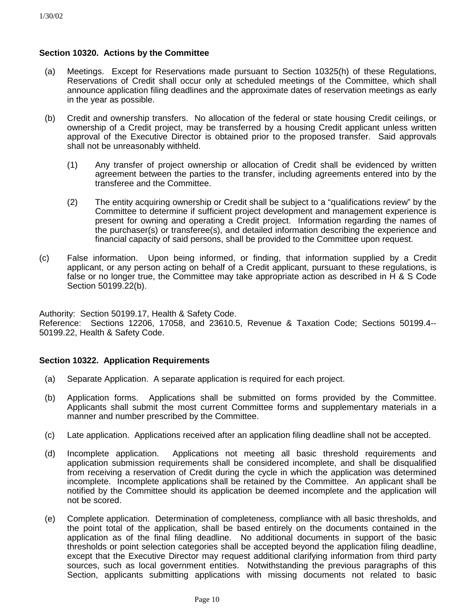### **Section 10320. Actions by the Committee**

- (a) Meetings. Except for Reservations made pursuant to Section 10325(h) of these Regulations, Reservations of Credit shall occur only at scheduled meetings of the Committee, which shall announce application filing deadlines and the approximate dates of reservation meetings as early in the year as possible.
- (b) Credit and ownership transfers. No allocation of the federal or state housing Credit ceilings, or ownership of a Credit project, may be transferred by a housing Credit applicant unless written approval of the Executive Director is obtained prior to the proposed transfer. Said approvals shall not be unreasonably withheld.
	- (1) Any transfer of project ownership or allocation of Credit shall be evidenced by written agreement between the parties to the transfer, including agreements entered into by the transferee and the Committee.
	- (2) The entity acquiring ownership or Credit shall be subject to a "qualifications review" by the Committee to determine if sufficient project development and management experience is present for owning and operating a Credit project. Information regarding the names of the purchaser(s) or transferee(s), and detailed information describing the experience and financial capacity of said persons, shall be provided to the Committee upon request.
- (c) False information. Upon being informed, or finding, that information supplied by a Credit applicant, or any person acting on behalf of a Credit applicant, pursuant to these regulations, is false or no longer true, the Committee may take appropriate action as described in H & S Code Section 50199.22(b).

Authority: Section 50199.17, Health & Safety Code. Reference: Sections 12206, 17058, and 23610.5, Revenue & Taxation Code; Sections 50199.4-- 50199.22, Health & Safety Code.

### **Section 10322. Application Requirements**

- (a) Separate Application. A separate application is required for each project.
- (b) Application forms. Applications shall be submitted on forms provided by the Committee. Applicants shall submit the most current Committee forms and supplementary materials in a manner and number prescribed by the Committee.
- (c) Late application. Applications received after an application filing deadline shall not be accepted.
- (d) Incomplete application. Applications not meeting all basic threshold requirements and application submission requirements shall be considered incomplete, and shall be disqualified from receiving a reservation of Credit during the cycle in which the application was determined incomplete. Incomplete applications shall be retained by the Committee. An applicant shall be notified by the Committee should its application be deemed incomplete and the application will not be scored.
- (e) Complete application. Determination of completeness, compliance with all basic thresholds, and the point total of the application, shall be based entirely on the documents contained in the application as of the final filing deadline. No additional documents in support of the basic thresholds or point selection categories shall be accepted beyond the application filing deadline, except that the Executive Director may request additional clarifying information from third party sources, such as local government entities. Notwithstanding the previous paragraphs of this Section, applicants submitting applications with missing documents not related to basic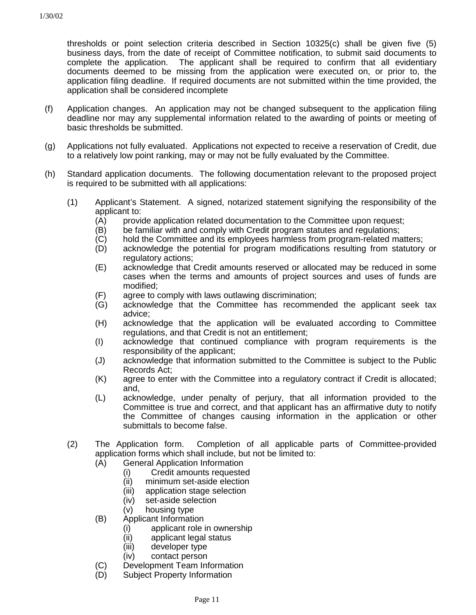thresholds or point selection criteria described in Section 10325(c) shall be given five (5) business days, from the date of receipt of Committee notification, to submit said documents to complete the application. The applicant shall be required to confirm that all evidentiary documents deemed to be missing from the application were executed on, or prior to, the application filing deadline. If required documents are not submitted within the time provided, the application shall be considered incomplete

- (f) Application changes. An application may not be changed subsequent to the application filing deadline nor may any supplemental information related to the awarding of points or meeting of basic thresholds be submitted.
- (g) Applications not fully evaluated. Applications not expected to receive a reservation of Credit, due to a relatively low point ranking, may or may not be fully evaluated by the Committee.
- (h) Standard application documents. The following documentation relevant to the proposed project is required to be submitted with all applications:
	- (1) Applicant's Statement. A signed, notarized statement signifying the responsibility of the applicant to:
		- (A) provide application related documentation to the Committee upon request;
		- (B) be familiar with and comply with Credit program statutes and regulations;
		- (C) hold the Committee and its employees harmless from program-related matters;
		- (D) acknowledge the potential for program modifications resulting from statutory or regulatory actions;
		- (E) acknowledge that Credit amounts reserved or allocated may be reduced in some cases when the terms and amounts of project sources and uses of funds are modified;
		- (F) agree to comply with laws outlawing discrimination;
		- (G) acknowledge that the Committee has recommended the applicant seek tax advice;
		- (H) acknowledge that the application will be evaluated according to Committee regulations, and that Credit is not an entitlement;
		- (I) acknowledge that continued compliance with program requirements is the responsibility of the applicant;
		- (J) acknowledge that information submitted to the Committee is subject to the Public Records Act;
		- (K) agree to enter with the Committee into a regulatory contract if Credit is allocated; and,
		- (L) acknowledge, under penalty of perjury, that all information provided to the Committee is true and correct, and that applicant has an affirmative duty to notify the Committee of changes causing information in the application or other submittals to become false.
	- (2) The Application form. Completion of all applicable parts of Committee-provided application forms which shall include, but not be limited to:
		- (A) General Application Information
			- (i) Credit amounts requested
			- (ii) minimum set-aside election
			- (iii) application stage selection
			- (iv) set-aside selection
			- (v) housing type
		- (B) Applicant Information
			- (i) applicant role in ownership
			- (ii) applicant legal status
			- (iii) developer type
			- (iv) contact person
		- (C) Development Team Information
		- (D) Subject Property Information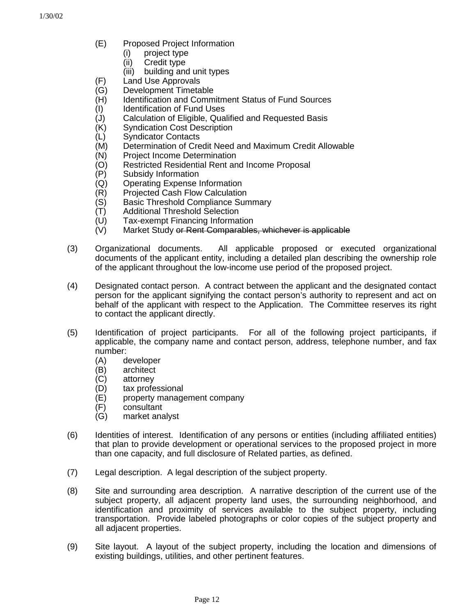- (E) Proposed Project Information
	- (i) project type
	- (ii) Credit type
	- (iii) building and unit types
- (F) Land Use Approvals
- (G) Development Timetable
- (H) Identification and Commitment Status of Fund Sources
- (I) Identification of Fund Uses
- (J) Calculation of Eligible, Qualified and Requested Basis
- (K) Syndication Cost Description<br>(L) Syndicator Contacts
- Syndicator Contacts
- (M) Determination of Credit Need and Maximum Credit Allowable
- (N) Project Income Determination
- (O) Restricted Residential Rent and Income Proposal
- (P) Subsidy Information
- (Q) Operating Expense Information
- (R) Projected Cash Flow Calculation
- (S) Basic Threshold Compliance Summary
- (T) Additional Threshold Selection
- (U) Tax-exempt Financing Information
- (V) Market Study or Rent Comparables, whichever is applicable
- (3) Organizational documents. All applicable proposed or executed organizational documents of the applicant entity, including a detailed plan describing the ownership role of the applicant throughout the low-income use period of the proposed project.
- (4) Designated contact person. A contract between the applicant and the designated contact person for the applicant signifying the contact person's authority to represent and act on behalf of the applicant with respect to the Application. The Committee reserves its right to contact the applicant directly.
- (5) Identification of project participants. For all of the following project participants, if applicable, the company name and contact person, address, telephone number, and fax number:
	- (A) developer
	- (B) architect
	- (C) attorney
	- (D) tax professional
	- (E) property management company
	- (F) consultant
	- (G) market analyst
- (6) Identities of interest. Identification of any persons or entities (including affiliated entities) that plan to provide development or operational services to the proposed project in more than one capacity, and full disclosure of Related parties, as defined.
- (7) Legal description. A legal description of the subject property.
- (8) Site and surrounding area description. A narrative description of the current use of the subject property, all adjacent property land uses, the surrounding neighborhood, and identification and proximity of services available to the subject property, including transportation. Provide labeled photographs or color copies of the subject property and all adjacent properties.
- (9) Site layout. A layout of the subject property, including the location and dimensions of existing buildings, utilities, and other pertinent features.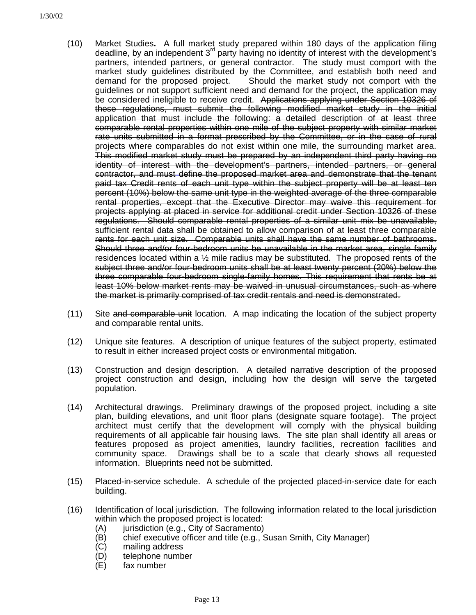- (10) Market Studies**.** A full market study prepared within 180 days of the application filing deadline, by an independent 3rd party having no identity of interest with the development's partners, intended partners, or general contractor. The study must comport with the market study guidelines distributed by the Committee, and establish both need and demand for the proposed project. Should the market study not comport with the guidelines or not support sufficient need and demand for the project, the application may be considered ineligible to receive credit. Applications applying under Section 10326 of these regulations, must submit the following modified market study in the initial application that must include the following: a detailed description of at least three comparable rental properties within one mile of the subject property with similar market rate units submitted in a format prescribed by the Committee, or in the case of rural projects where comparables do not exist within one mile, the surrounding market area. This modified market study must be prepared by an independent third party having no identity of interest with the development's partners, intended partners, or general contractor, and must define the proposed market area and demonstrate that the tenant paid tax Credit rents of each unit type within the subject property will be at least ten percent (10%) below the same unit type in the weighted average of the three comparable rental properties, except that the Executive Director may waive this requirement for projects applying at placed in service for additional credit under Section 10326 of these regulations. Should comparable rental properties of a similar unit mix be unavailable, sufficient rental data shall be obtained to allow comparison of at least three comparable rents for each unit size. Comparable units shall have the same number of bathrooms. Should three and/or four-bedroom units be unavailable in the market area, single family residences located within a ½ mile radius may be substituted. The proposed rents of the subject three and/or four-bedroom units shall be at least twenty percent (20%) below the three comparable four-bedroom single-family homes. This requirement that rents be at least 10% below market rents may be waived in unusual circumstances, such as where the market is primarily comprised of tax credit rentals and need is demonstrated.
- (11) Site and comparable unit location. A map indicating the location of the subject property and comparable rental units.
- (12) Unique site features. A description of unique features of the subject property, estimated to result in either increased project costs or environmental mitigation.
- (13) Construction and design description. A detailed narrative description of the proposed project construction and design, including how the design will serve the targeted population.
- (14) Architectural drawings. Preliminary drawings of the proposed project, including a site plan, building elevations, and unit floor plans (designate square footage). The project architect must certify that the development will comply with the physical building requirements of all applicable fair housing laws. The site plan shall identify all areas or features proposed as project amenities, laundry facilities, recreation facilities and community space. Drawings shall be to a scale that clearly shows all requested information. Blueprints need not be submitted.
- (15) Placed-in-service schedule. A schedule of the projected placed-in-service date for each building.
- (16) Identification of local jurisdiction. The following information related to the local jurisdiction within which the proposed project is located:
	- (A) jurisdiction (e.g., City of Sacramento)
	- (B) chief executive officer and title (e.g., Susan Smith, City Manager)
	- (C) mailing address
	- (D) telephone number
	- (E) fax number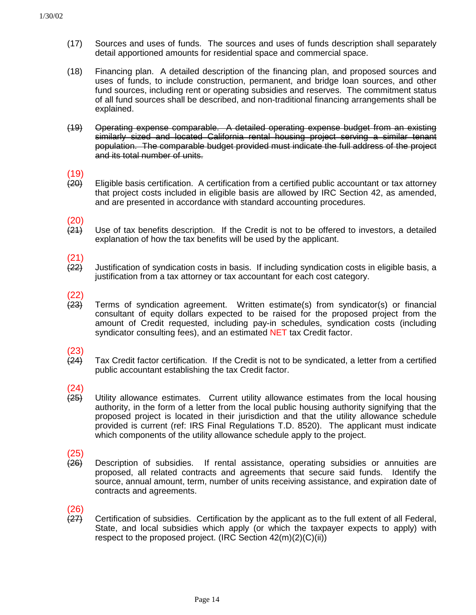- (17) Sources and uses of funds. The sources and uses of funds description shall separately detail apportioned amounts for residential space and commercial space.
- (18) Financing plan. A detailed description of the financing plan, and proposed sources and uses of funds, to include construction, permanent, and bridge loan sources, and other fund sources, including rent or operating subsidies and reserves. The commitment status of all fund sources shall be described, and non-traditional financing arrangements shall be explained.
- (19) Operating expense comparable. A detailed operating expense budget from an existing similarly sized and located California rental housing project serving a similar tenant population. The comparable budget provided must indicate the full address of the project and its total number of units.

# $(19)$ <br> $(20)$

- Eligible basis certification. A certification from a certified public accountant or tax attorney that project costs included in eligible basis are allowed by IRC Section 42, as amended, and are presented in accordance with standard accounting procedures.
- $(20)$ <br> $(24)$
- Use of tax benefits description. If the Credit is not to be offered to investors, a detailed explanation of how the tax benefits will be used by the applicant.

# $\frac{(21)}{(22)}$

- Justification of syndication costs in basis. If including syndication costs in eligible basis, a justification from a tax attorney or tax accountant for each cost category.
- $(22)$ <br> $(23)$ 
	- (23) Terms of syndication agreement. Written estimate(s) from syndicator(s) or financial consultant of equity dollars expected to be raised for the proposed project from the amount of Credit requested, including pay-in schedules, syndication costs (including syndicator consulting fees), and an estimated NET tax Credit factor.

# $(23)$ <br> $(24)$

Tax Credit factor certification. If the Credit is not to be syndicated, a letter from a certified public accountant establishing the tax Credit factor.

# $(24)$ <br> $(25)$

Utility allowance estimates. Current utility allowance estimates from the local housing authority, in the form of a letter from the local public housing authority signifying that the proposed project is located in their jurisdiction and that the utility allowance schedule provided is current (ref: IRS Final Regulations T.D. 8520). The applicant must indicate which components of the utility allowance schedule apply to the project.

# $\frac{(25)}{(26)}$

Description of subsidies. If rental assistance, operating subsidies or annuities are proposed, all related contracts and agreements that secure said funds. Identify the source, annual amount, term, number of units receiving assistance, and expiration date of contracts and agreements.

# (26)

(27) Certification of subsidies. Certification by the applicant as to the full extent of all Federal, State, and local subsidies which apply (or which the taxpayer expects to apply) with respect to the proposed project. (IRC Section 42(m)(2)(C)(ii))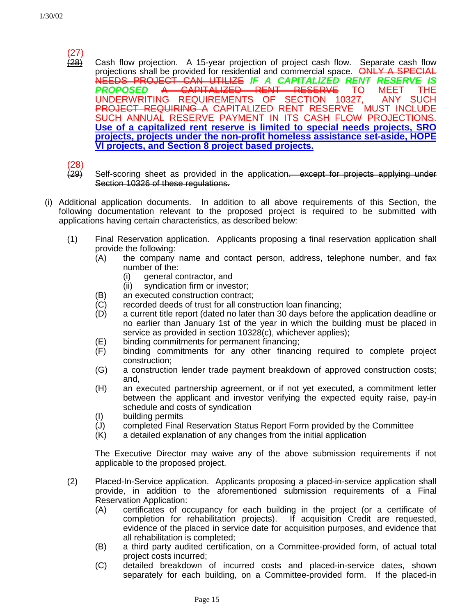# $\frac{(27)}{(28)}$

Cash flow projection. A 15-year projection of project cash flow. Separate cash flow projections shall be provided for residential and commercial space. ONLY A SPECIAL NEEDS PROJECT CAN UTILIZE *IF A CAPITALIZED RENT RESERVE IS* **PROPOSED A CAPITALIZED RENT RESERVE TO MEET** UNDERWRITING REQUIREMENTS OF SECTION 10327, ANY SUCH PROJECT REQUIRING A CAPITALIZED RENT RESERVE MUST INCLUDE SUCH ANNUAL RESERVE PAYMENT IN ITS CASH FLOW PROJECTIONS. **Use of a capitalized rent reserve is limited to special needs projects, SRO projects, projects under the non-profit homeless assistance set-aside, HOPE VI projects, and Section 8 project based projects.**

(28)

- (29) Self-scoring sheet as provided in the application. except for projects applying under Section 10326 of these regulations.
- (i) Additional application documents. In addition to all above requirements of this Section, the following documentation relevant to the proposed project is required to be submitted with applications having certain characteristics, as described below:
	- (1) Final Reservation application. Applicants proposing a final reservation application shall provide the following:
		- (A) the company name and contact person, address, telephone number, and fax number of the:
			- (i) general contractor, and
			- (ii) syndication firm or investor;
		- (B) an executed construction contract;
		- $(C)$  recorded deeds of trust for all construction loan financing;
		- (D) a current title report (dated no later than 30 days before the application deadline or no earlier than January 1st of the year in which the building must be placed in service as provided in section 10328(c), whichever applies);
		- (E) binding commitments for permanent financing;
		- (F) binding commitments for any other financing required to complete project construction;
		- (G) a construction lender trade payment breakdown of approved construction costs; and,
		- (H) an executed partnership agreement, or if not yet executed, a commitment letter between the applicant and investor verifying the expected equity raise, pay-in schedule and costs of syndication
		- (I) building permits
		- (J) completed Final Reservation Status Report Form provided by the Committee
		- (K) a detailed explanation of any changes from the initial application

The Executive Director may waive any of the above submission requirements if not applicable to the proposed project.

- (2) Placed-In-Service application. Applicants proposing a placed-in-service application shall provide, in addition to the aforementioned submission requirements of a Final Reservation Application:
	- (A) certificates of occupancy for each building in the project (or a certificate of completion for rehabilitation projects). If acquisition Credit are requested, evidence of the placed in service date for acquisition purposes, and evidence that all rehabilitation is completed;
	- (B) a third party audited certification, on a Committee-provided form, of actual total project costs incurred;
	- (C) detailed breakdown of incurred costs and placed-in-service dates, shown separately for each building, on a Committee-provided form. If the placed-in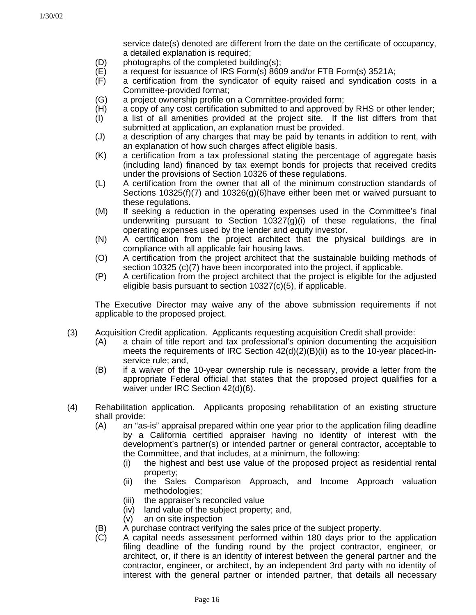service date(s) denoted are different from the date on the certificate of occupancy, a detailed explanation is required;

- (D) photographs of the completed building(s);
- (E) a request for issuance of IRS Form(s) 8609 and/or FTB Form(s) 3521A;
- (F) a certification from the syndicator of equity raised and syndication costs in a Committee-provided format;
- (G) a project ownership profile on a Committee-provided form;
- (H) a copy of any cost certification submitted to and approved by RHS or other lender;
- (I) a list of all amenities provided at the project site. If the list differs from that submitted at application, an explanation must be provided.
- (J) a description of any charges that may be paid by tenants in addition to rent, with an explanation of how such charges affect eligible basis.
- (K) a certification from a tax professional stating the percentage of aggregate basis (including land) financed by tax exempt bonds for projects that received credits under the provisions of Section 10326 of these regulations.
- (L) A certification from the owner that all of the minimum construction standards of Sections 10325(f)(7) and 10326(g)(6)have either been met or waived pursuant to these regulations.
- (M) If seeking a reduction in the operating expenses used in the Committee's final underwriting pursuant to Section  $10327(q)(i)$  of these regulations, the final operating expenses used by the lender and equity investor.
- (N) A certification from the project architect that the physical buildings are in compliance with all applicable fair housing laws.
- (O) A certification from the project architect that the sustainable building methods of section 10325 (c)(7) have been incorporated into the project, if applicable.
- (P) A certification from the project architect that the project is eligible for the adjusted eligible basis pursuant to section 10327(c)(5), if applicable.

The Executive Director may waive any of the above submission requirements if not applicable to the proposed project.

- (3) Acquisition Credit application. Applicants requesting acquisition Credit shall provide:
	- (A) a chain of title report and tax professional's opinion documenting the acquisition meets the requirements of IRC Section  $42(d)(2)(B)(ii)$  as to the 10-year placed-inservice rule; and,
	- $(B)$  if a waiver of the 10-year ownership rule is necessary, provide a letter from the appropriate Federal official that states that the proposed project qualifies for a waiver under IRC Section 42(d)(6).
- (4) Rehabilitation application. Applicants proposing rehabilitation of an existing structure shall provide:
	- (A) an "as-is" appraisal prepared within one year prior to the application filing deadline by a California certified appraiser having no identity of interest with the development's partner(s) or intended partner or general contractor, acceptable to the Committee, and that includes, at a minimum, the following:
		- (i) the highest and best use value of the proposed project as residential rental property;
		- (ii) the Sales Comparison Approach, and Income Approach valuation methodologies;
		- (iii) the appraiser's reconciled value
		- (iv) land value of the subject property; and,
		- (v) an on site inspection
	- (B) A purchase contract verifying the sales price of the subject property.
	- (C) A capital needs assessment performed within 180 days prior to the application filing deadline of the funding round by the project contractor, engineer, or architect, or, if there is an identity of interest between the general partner and the contractor, engineer, or architect, by an independent 3rd party with no identity of interest with the general partner or intended partner, that details all necessary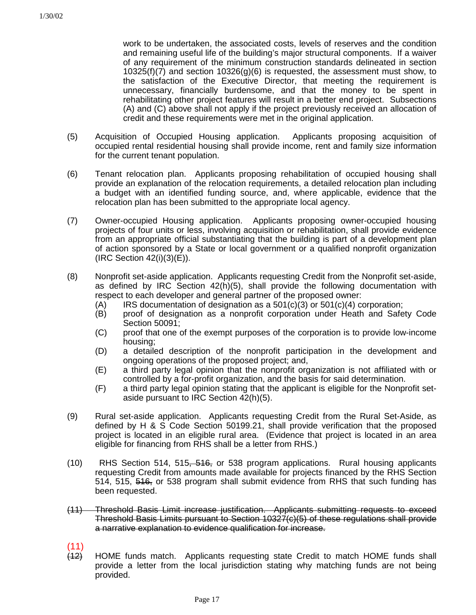work to be undertaken, the associated costs, levels of reserves and the condition and remaining useful life of the building's major structural components. If a waiver of any requirement of the minimum construction standards delineated in section  $10325(f)(7)$  and section  $10326(g)(6)$  is requested, the assessment must show, to the satisfaction of the Executive Director, that meeting the requirement is unnecessary, financially burdensome, and that the money to be spent in rehabilitating other project features will result in a better end project. Subsections (A) and (C) above shall not apply if the project previously received an allocation of credit and these requirements were met in the original application.

- (5) Acquisition of Occupied Housing application. Applicants proposing acquisition of occupied rental residential housing shall provide income, rent and family size information for the current tenant population.
- (6) Tenant relocation plan. Applicants proposing rehabilitation of occupied housing shall provide an explanation of the relocation requirements, a detailed relocation plan including a budget with an identified funding source, and, where applicable, evidence that the relocation plan has been submitted to the appropriate local agency.
- (7) Owner-occupied Housing application. Applicants proposing owner-occupied housing projects of four units or less, involving acquisition or rehabilitation, shall provide evidence from an appropriate official substantiating that the building is part of a development plan of action sponsored by a State or local government or a qualified nonprofit organization (IRC Section 42(i)(3)(E)).
- (8) Nonprofit set-aside application. Applicants requesting Credit from the Nonprofit set-aside, as defined by IRC Section 42(h)(5), shall provide the following documentation with respect to each developer and general partner of the proposed owner:
	- $(A)$  IRS documentation of designation as a 501(c)(3) or 501(c)(4) corporation;
	- (B) proof of designation as a nonprofit corporation under Heath and Safety Code Section 50091;
	- (C) proof that one of the exempt purposes of the corporation is to provide low-income housing;
	- (D) a detailed description of the nonprofit participation in the development and ongoing operations of the proposed project; and,
	- (E) a third party legal opinion that the nonprofit organization is not affiliated with or controlled by a for-profit organization, and the basis for said determination.
	- (F) a third party legal opinion stating that the applicant is eligible for the Nonprofit setaside pursuant to IRC Section 42(h)(5).
- (9) Rural set-aside application. Applicants requesting Credit from the Rural Set-Aside, as defined by H & S Code Section 50199.21, shall provide verification that the proposed project is located in an eligible rural area. (Evidence that project is located in an area eligible for financing from RHS shall be a letter from RHS.)
- (10) RHS Section 514, 515, 516, or 538 program applications. Rural housing applicants requesting Credit from amounts made available for projects financed by the RHS Section 514, 515, 516, or 538 program shall submit evidence from RHS that such funding has been requested.
- (11) Threshold Basis Limit increase justification. Applicants submitting requests to exceed Threshold Basis Limits pursuant to Section 10327(c)(5) of these regulations shall provide a narrative explanation to evidence qualification for increase.
- $\frac{(11)}{(12)}$
- HOME funds match. Applicants requesting state Credit to match HOME funds shall provide a letter from the local jurisdiction stating why matching funds are not being provided.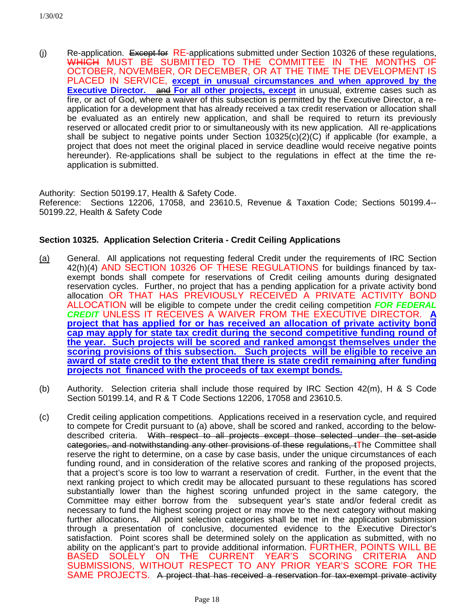(j) Re-application. Except for RE-applications submitted under Section 10326 of these regulations, WHICH MUST BE SUBMITTED TO THE COMMITTEE IN THE MONTHS OF OCTOBER, NOVEMBER, OR DECEMBER, OR AT THE TIME THE DEVELOPMENT IS PLACED IN SERVICE, **except in unusual circumstances and when approved by the Executive Director.** and **For all other projects, except** in unusual, extreme cases such as fire, or act of God, where a waiver of this subsection is permitted by the Executive Director, a reapplication for a development that has already received a tax credit reservation or allocation shall be evaluated as an entirely new application, and shall be required to return its previously reserved or allocated credit prior to or simultaneously with its new application. All re-applications shall be subject to negative points under Section  $10325(c)(2)(C)$  if applicable (for example, a project that does not meet the original placed in service deadline would receive negative points hereunder). Re-applications shall be subject to the regulations in effect at the time the reapplication is submitted.

Authority: Section 50199.17, Health & Safety Code. Reference: Sections 12206, 17058, and 23610.5, Revenue & Taxation Code; Sections 50199.4-- 50199.22, Health & Safety Code

### **Section 10325. Application Selection Criteria - Credit Ceiling Applications**

- (a) General. All applications not requesting federal Credit under the requirements of IRC Section 42(h)(4) AND SECTION 10326 OF THESE REGULATIONS for buildings financed by taxexempt bonds shall compete for reservations of Credit ceiling amounts during designated reservation cycles. Further, no project that has a pending application for a private activity bond allocation OR THAT HAS PREVIOUSLY RECEIVED A PRIVATE ACTIVITY BOND ALLOCATION will be eligible to compete under the credit ceiling competition *FOR FEDERAL CREDIT* UNLESS IT RECEIVES A WAIVER FROM THE EXECUTIVE DIRECTOR. **A project that has applied for or has received an allocation of private activity bond cap may apply for state tax credit during the second competitive funding round of the year. Such projects will be scored and ranked amongst themselves under the scoring provisions of this subsection. Such projects will be eligible to receive an award of state credit to the extent that there is state credit remaining after funding projects not financed with the proceeds of tax exempt bonds.**
- (b) Authority. Selection criteria shall include those required by IRC Section 42(m), H & S Code Section 50199.14, and R & T Code Sections 12206, 17058 and 23610.5.
- (c) Credit ceiling application competitions. Applications received in a reservation cycle, and required to compete for Credit pursuant to (a) above, shall be scored and ranked, according to the belowdescribed criteria. With respect to all projects except those selected under the set-aside categories, and notwithstanding any other provisions of these regulations, tThe Committee shall reserve the right to determine, on a case by case basis, under the unique circumstances of each funding round, and in consideration of the relative scores and ranking of the proposed projects, that a project's score is too low to warrant a reservation of credit. Further, in the event that the next ranking project to which credit may be allocated pursuant to these regulations has scored substantially lower than the highest scoring unfunded project in the same category, the Committee may either borrow from the subsequent year's state and/or federal credit as necessary to fund the highest scoring project or may move to the next category without making further allocations**.** All point selection categories shall be met in the application submission through a presentation of conclusive, documented evidence to the Executive Director's satisfaction. Point scores shall be determined solely on the application as submitted, with no ability on the applicant's part to provide additional information. FURTHER, POINTS WILL BE BASED SOLELY ON THE CURRENT YEAR'S SCORING CRITERIA AND SUBMISSIONS, WITHOUT RESPECT TO ANY PRIOR YEAR'S SCORE FOR THE SAME PROJECTS. A project that has received a reservation for tax-exempt private activity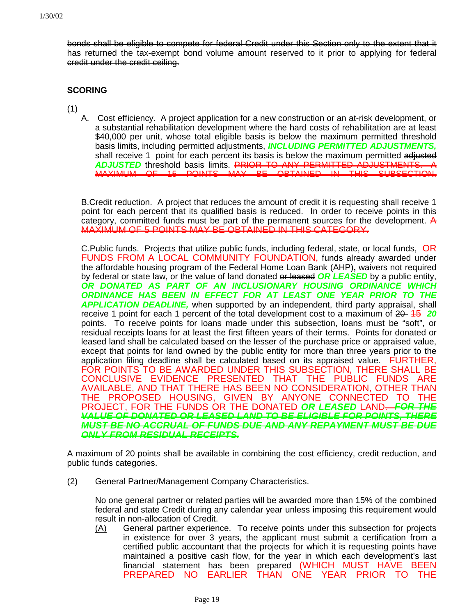bonds shall be eligible to compete for federal Credit under this Section only to the extent that it has returned the tax-exempt bond volume amount reserved to it prior to applying for federal credit under the credit ceiling.

### **SCORING**

(1)

A. Cost efficiency. A project application for a new construction or an at-risk development, or a substantial rehabilitation development where the hard costs of rehabilitation are at least \$40,000 per unit, whose total eligible basis is below the maximum permitted threshold basis limits, including permitted adjustments, *INCLUDING PERMITTED ADJUSTMENTS,* shall receive 1 point for each percent its basis is below the maximum permitted adjusted *ADJUSTED* threshold basis limits. PRIOR TO ANY PERMITTED ADJUSTMENTS. A MAXIMUM OF 15 POINTS MAY BE OBTAINED IN THIS SUBSECTION.

B.Credit reduction. A project that reduces the amount of credit it is requesting shall receive 1 point for each percent that its qualified basis is reduced. In order to receive points in this category, committed funds must be part of the permanent sources for the development.  $\mathbf{\mathsf{A}}$ MAXIMUM OF 5 POINTS MAY BE OBTAINED IN THIS CATEGORY.

C.Public funds. Projects that utilize public funds, including federal, state, or local funds, OR FUNDS FROM A LOCAL COMMUNITY FOUNDATION, funds already awarded under the affordable housing program of the Federal Home Loan Bank (AHP)**,** waivers not required by federal or state law, or the value of land donated or leased *OR LEASED* by a public entity, *OR DONATED AS PART OF AN INCLUSIONARY HOUSING ORDINANCE WHICH ORDINANCE HAS BEEN IN EFFECT FOR AT LEAST ONE YEAR PRIOR TO THE APPLICATION DEADLINE,* when supported by an independent, third party appraisal, shall receive 1 point for each 1 percent of the total development cost to a maximum of 20–45 20 points. To receive points for loans made under this subsection, loans must be "soft", or residual receipts loans for at least the first fifteen years of their terms. Points for donated or leased land shall be calculated based on the lesser of the purchase price or appraised value, except that points for land owned by the public entity for more than three years prior to the application filing deadline shall be calculated based on its appraised value. FURTHER, FOR POINTS TO BE AWARDED UNDER THIS SUBSECTION, THERE SHALL BE CONCLUSIVE EVIDENCE PRESENTED THAT THE PUBLIC FUNDS ARE AVAILABLE, AND THAT THERE HAS BEEN NO CONSIDERATION, OTHER THAN THE PROPOSED HOUSING, GIVEN BY ANYONE CONNECTED TO THE PROJECT, FOR THE FUNDS OR THE DONATED *OR LEASED* LAND. *FOR THE VALUE OF DONATED OR LEASED LAND TO BE ELIGIBLE FOR POINTS, THERE MUST BE NO ACCRUAL OF FUNDS DUE AND ANY REPAYMENT MUST BE DUE ONLY FROM RESIDUAL RECEIPTS.*

A maximum of 20 points shall be available in combining the cost efficiency, credit reduction, and public funds categories.

(2) General Partner/Management Company Characteristics.

No one general partner or related parties will be awarded more than 15% of the combined federal and state Credit during any calendar year unless imposing this requirement would result in non-allocation of Credit.

(A) General partner experience. To receive points under this subsection for projects in existence for over 3 years, the applicant must submit a certification from a certified public accountant that the projects for which it is requesting points have maintained a positive cash flow, for the year in which each development's last financial statement has been prepared (WHICH MUST HAVE BEEN PREPARED NO EARLIER THAN ONE YEAR PRIOR TO THE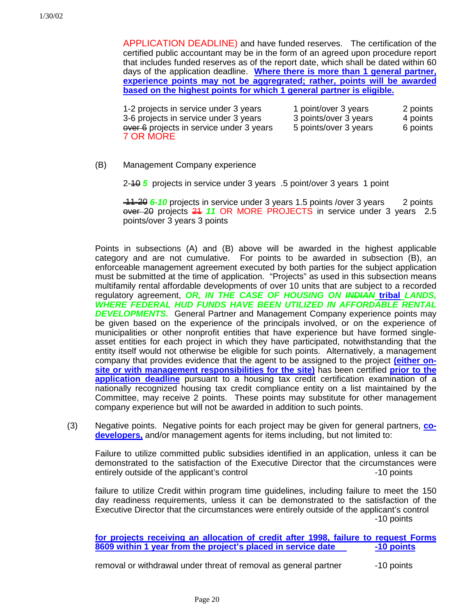APPLICATION DEADLINE) and have funded reserves. The certification of the certified public accountant may be in the form of an agreed upon procedure report that includes funded reserves as of the report date, which shall be dated within 60 days of the application deadline. **Where there is more than 1 general partner, experience points may not be aggregrated; rather, points will be awarded based on the highest points for which 1 general partner is eligible.**

1-2 projects in service under 3 years 1 point/over 3 years 2 points 3-6 projects in service under 3 years 3 points/over 3 years 4 points over 6 projects in service under 3 years 5 points/over 3 years 6 points 7 OR MORE

(B) Management Company experience

2-10 *5* projects in service under 3 years .5 point/over 3 years 1 point

 11-20 *6-10* projects in service under 3 years 1.5 points /over 3 years 2 points over 20 projects 21 *11* OR MORE PROJECTS in service under 3 years 2.5 points/over 3 years 3 points

Points in subsections (A) and (B) above will be awarded in the highest applicable category and are not cumulative. For points to be awarded in subsection (B), an enforceable management agreement executed by both parties for the subject application must be submitted at the time of application. "Projects" as used in this subsection means multifamily rental affordable developments of over 10 units that are subject to a recorded regulatory agreement, *OR, IN THE CASE OF HOUSING ON INDIAN* **tribal** *LANDS, WHERE FEDERAL HUD FUNDS HAVE BEEN UTILIZED IN AFFORDABLE RENTAL DEVELOPMENTS.* General Partner and Management Company experience points may be given based on the experience of the principals involved, or on the experience of municipalities or other nonprofit entities that have experience but have formed singleasset entities for each project in which they have participated, notwithstanding that the entity itself would not otherwise be eligible for such points. Alternatively, a management company that provides evidence that the agent to be assigned to the project **(either onsite or with management responsibilities for the site)** has been certified **prior to the application deadline** pursuant to a housing tax credit certification examination of a nationally recognized housing tax credit compliance entity on a list maintained by the Committee, may receive 2 points. These points may substitute for other management company experience but will not be awarded in addition to such points.

(3) Negative points. Negative points for each project may be given for general partners, **codevelopers,** and/or management agents for items including, but not limited to:

Failure to utilize committed public subsidies identified in an application, unless it can be demonstrated to the satisfaction of the Executive Director that the circumstances were entirely outside of the applicant's control entirely outside of the applicant's control

failure to utilize Credit within program time guidelines, including failure to meet the 150 day readiness requirements, unless it can be demonstrated to the satisfaction of the Executive Director that the circumstances were entirely outside of the applicant's control -10 points

**for projects receiving an allocation of credit after 1998, failure to request Forms 8609 within 1 year from the project's placed in service date -10 points** 

removal or withdrawal under threat of removal as general partner  $\sim$  -10 points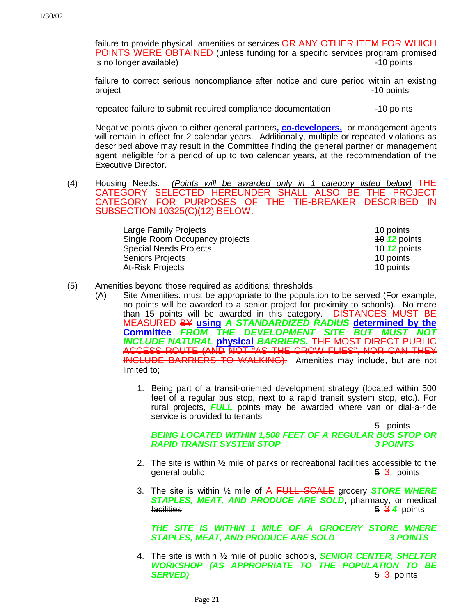failure to provide physical amenities or services OR ANY OTHER ITEM FOR WHICH POINTS WERE OBTAINED (unless funding for a specific services program promised is no longer available) -10 points

failure to correct serious noncompliance after notice and cure period within an existing project and the project of the state of the state of the state of the state of the state of the state of the state of the state of the state of the state of the state of the state of the state of the state of the state of

repeated failure to submit required compliance documentation  $\sim$  -10 points

Negative points given to either general partners**, co-developers,** or management agents will remain in effect for 2 calendar years. Additionally, multiple or repeated violations as described above may result in the Committee finding the general partner or management agent ineligible for a period of up to two calendar years, at the recommendation of the Executive Director.

(4) Housing Needs. *(Points will be awarded only in 1 category listed below)* THE CATEGORY SELECTED HEREUNDER SHALL ALSO BE THE PROJECT CATEGORY FOR PURPOSES OF THE TIE-BREAKER DESCRIBED IN SUBSECTION 10325(C)(12) BELOW.

| Large Family Projects          | 10 points             |
|--------------------------------|-----------------------|
| Single Room Occupancy projects | $4012$ points         |
| <b>Special Needs Projects</b>  | $\frac{40}{2}$ points |
| <b>Seniors Projects</b>        | 10 points             |
| At-Risk Projects               | 10 points             |

### (5) Amenities beyond those required as additional thresholds

- (A) Site Amenities: must be appropriate to the population to be served (For example, no points will be awarded to a senior project for proximity to schools). No more than 15 points will be awarded in this category. DISTANCES MUST BE MEASURED BY **using** *A STANDARDIZED RADIUS* **determined by the Committee** *FROM THE DEVELOPMENT SITE BUT MUST NOT INCLUDE NATURAL* **physical** *BARRIERS.* THE MOST DIRECT PUBLIC ACCESS ROUTE (AND NOT "AS THE CROW FLIES", NOR CAN THEY INCLUDE BARRIERS TO WALKING). Amenities may include, but are not limited to;
	- 1. Being part of a transit-oriented development strategy (located within 500 feet of a regular bus stop, next to a rapid transit system stop, etc.). For rural projects, *FULL* points may be awarded where van or dial-a-ride service is provided to tenants

5 points *BEING LOCATED WITHIN 1,500 FEET OF A REGULAR BUS STOP OR* **RAPID TRANSIT SYSTEM STOP** 

- 2. The site is within ½ mile of parks or recreational facilities accessible to the general public **5 3** points
- 3. The site is within ½ mile of A FULL SCALE grocery *STORE WHERE STAPLES, MEAT, AND PRODUCE ARE SOLD*, pharmacy, or medical facilities 5 3 4 points

*THE SITE IS WITHIN 1 MILE OF A GROCERY STORE WHERE STAPLES, MEAT, AND PRODUCE ARE SOLD 3 POINTS*

4. The site is within ½ mile of public schools, *SENIOR CENTER, SHELTER WORKSHOP (AS APPROPRIATE TO THE POPULATION TO BE* **SERVED)** 5 3 points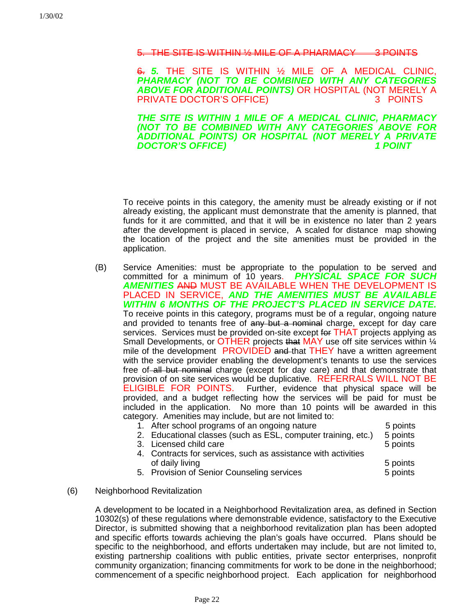#### SITE IS WITHIN 1/2 MILE OF A PHARMACY

6. *5.* THE SITE IS WITHIN ½ MILE OF A MEDICAL CLINIC, *PHARMACY (NOT TO BE COMBINED WITH ANY CATEGORIES ABOVE FOR ADDITIONAL POINTS)* OR HOSPITAL (NOT MERELY A PRIVATE DOCTOR'S OFFICE)

*THE SITE IS WITHIN 1 MILE OF A MEDICAL CLINIC, PHARMACY (NOT TO BE COMBINED WITH ANY CATEGORIES ABOVE FOR ADDITIONAL POINTS) OR HOSPITAL (NOT MERELY A PRIVATE* **DOCTOR'S OFFICE)** 

To receive points in this category, the amenity must be already existing or if not already existing, the applicant must demonstrate that the amenity is planned, that funds for it are committed, and that it will be in existence no later than 2 years after the development is placed in service, A scaled for distance map showing the location of the project and the site amenities must be provided in the application.

(B) Service Amenities: must be appropriate to the population to be served and committed for a minimum of 10 years. *PHYSICAL SPACE FOR SUCH AMENITIES* AND MUST BE AVAILABLE WHEN THE DEVELOPMENT IS PLACED IN SERVICE, *AND THE AMENITIES MUST BE AVAILABLE WITHIN 6 MONTHS OF THE PROJECT'S PLACED IN SERVICE DATE.* To receive points in this category, programs must be of a regular, ongoing nature and provided to tenants free of any but a nominal charge, except for day care services. Services must be provided on-site except for THAT projects applying as Small Developments, or OTHER projects that MAY use off site services within  $\frac{1}{4}$ mile of the development PROVIDED and that THEY have a written agreement with the service provider enabling the development's tenants to use the services free of all but nominal charge (except for day care) and that demonstrate that provision of on site services would be duplicative. REFERRALS WILL NOT BE<br>ELIGIBLE FOR POINTS. Further, evidence that physical space will be Further, evidence that physical space will be provided, and a budget reflecting how the services will be paid for must be included in the application. No more than 10 points will be awarded in this category. Amenities may include, but are not limited to:

| 1. After school programs of an ongoing nature                 | 5 points |
|---------------------------------------------------------------|----------|
| 2. Educational classes (such as ESL, computer training, etc.) | 5 points |
| 3. Licensed child care                                        | 5 points |
| 4. Contracts for services, such as assistance with activities |          |
| of daily living                                               | 5 points |
| 5. Provision of Senior Counseling services                    | 5 points |

### (6) Neighborhood Revitalization

A development to be located in a Neighborhood Revitalization area, as defined in Section 10302(s) of these regulations where demonstrable evidence, satisfactory to the Executive Director, is submitted showing that a neighborhood revitalization plan has been adopted and specific efforts towards achieving the plan's goals have occurred. Plans should be specific to the neighborhood, and efforts undertaken may include, but are not limited to, existing partnership coalitions with public entities, private sector enterprises, nonprofit community organization; financing commitments for work to be done in the neighborhood; commencement of a specific neighborhood project. Each application for neighborhood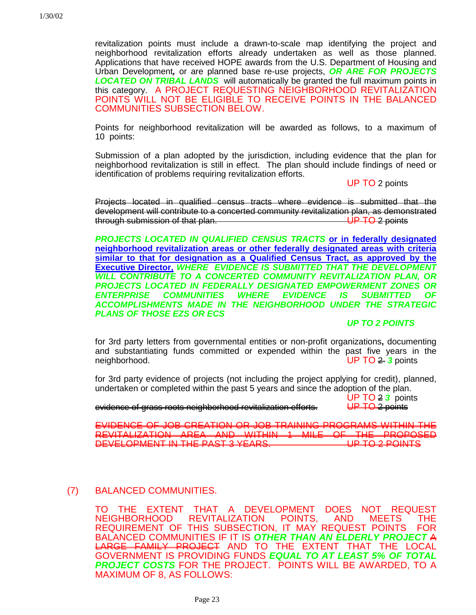revitalization points must include a drawn-to-scale map identifying the project and neighborhood revitalization efforts already undertaken as well as those planned. Applications that have received HOPE awards from the U.S. Department of Housing and Urban Development*,* or are planned base re-use projects, *OR ARE FOR PROJECTS LOCATED ON TRIBAL LANDS* will automatically be granted the full maximum points in this category. A PROJECT REQUESTING NEIGHBORHOOD REVITALIZATION POINTS WILL NOT BE ELIGIBLE TO RECEIVE POINTS IN THE BALANCED COMMUNITIES SUBSECTION BELOW.

Points for neighborhood revitalization will be awarded as follows, to a maximum of 10 points:

Submission of a plan adopted by the jurisdiction, including evidence that the plan for neighborhood revitalization is still in effect. The plan should include findings of need or identification of problems requiring revitalization efforts.

UP TO 2 points

Projects located in qualified census tracts where evidence is submitted that the development will contribute to a concerted community revitalization plan, as demonstrated through submission of that plan. UP TO 2 points

*PROJECTS LOCATED IN QUALIFIED CENSUS TRACTS* **or in federally designated neighborhood revitalization areas or other federally designated areas with criteria similar to that for designation as a Qualified Census Tract, as approved by the Executive Director,** *WHERE EVIDENCE IS SUBMITTED THAT THE DEVELOPMENT WILL CONTRIBUTE TO A CONCERTED COMMUNITY REVITALIZATION PLAN, OR PROJECTS LOCATED IN FEDERALLY DESIGNATED EMPOWERMENT ZONES OR ENTERPRISE COMMUNITIES WHERE EVIDENCE IS SUBMITTED OF ACCOMPLISHMENTS MADE IN THE NEIGHBORHOOD UNDER THE STRATEGIC PLANS OF THOSE EZS OR ECS*

### *UP TO 2 POINTS*

for 3rd party letters from governmental entities or non-profit organizations**,** documenting and substantiating funds committed or expended within the past five years in the neighborhood. UP TO 2 *3* points

for 3rd party evidence of projects (not including the project applying for credit), planned, undertaken or completed within the past 5 years and since the adoption of the plan.

UP TO 2 *3* points

evidence of grass roots neighborhood revitalization efforts. UP TO 2 points

EVIDENCE OF JOB CREATION OR JOB TRAINING PROGRAMS WITHIN THE REVITALIZATION AREA AND WITHIN 1 MILE OF THE PROPOSED<br>DEVELOPMENT IN THE PAST 3 YEARS. DEVELOPMENT IN THE PAST 3 YEARS.

# (7) BALANCED COMMUNITIES.

TO THE EXTENT THAT A DEVELOPMENT DOES NOT REQUEST NEIGHBORHOOD REVITALIZATION POINTS, AND MEETS THE REQUIREMENT OF THIS SUBSECTION, IT MAY REQUEST POINTS FOR BALANCED COMMUNITIES IF IT IS *OTHER THAN AN ELDERLY PROJECT* A LARGE FAMILY PROJECT AND TO THE EXTENT THAT THE LOCAL GOVERNMENT IS PROVIDING FUNDS *EQUAL TO AT LEAST 5% OF TOTAL PROJECT COSTS* FOR THE PROJECT. POINTS WILL BE AWARDED, TO A MAXIMUM OF 8, AS FOLLOWS: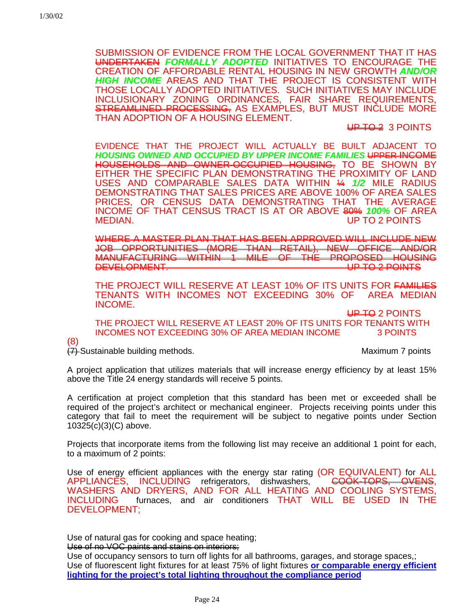SUBMISSION OF EVIDENCE FROM THE LOCAL GOVERNMENT THAT IT HAS UNDERTAKEN *FORMALLY ADOPTED* INITIATIVES TO ENCOURAGE THE CREATION OF AFFORDABLE RENTAL HOUSING IN NEW GROWTH *AND/OR HIGH INCOME* AREAS AND THAT THE PROJECT IS CONSISTENT WITH THOSE LOCALLY ADOPTED INITIATIVES. SUCH INITIATIVES MAY INCLUDE INCLUSIONARY ZONING ORDINANCES, FAIR SHARE REQUIREMENTS, STREAMLINED PROCESSING, AS EXAMPLES, BUT MUST INCLUDE MORE THAN ADOPTION OF A HOUSING ELEMENT.

UP TO 2 3 POINTS

EVIDENCE THAT THE PROJECT WILL ACTUALLY BE BUILT ADJACENT TO *HOUSING OWNED AND OCCUPIED BY UPPER INCOME FAMILIES* UPPER INCOME HOUSEHOLDS AND OWNER-OCCUPIED HOUSING, TO BE SHOWN BY EITHER THE SPECIFIC PLAN DEMONSTRATING THE PROXIMITY OF LAND USES AND COMPARABLE SALES DATA WITHIN ¼ *1/2* MILE RADIUS DEMONSTRATING THAT SALES PRICES ARE ABOVE 100% OF AREA SALES PRICES, OR CENSUS DATA DEMONSTRATING THAT THE AVERAGE INCOME OF THAT CENSUS TRACT IS AT OR ABOVE 80% *100%* OF AREA UP TO 2 POINTS

WHERE A MASTER PLAN THAT HAS BEEN APPROVED WILL INCLUDE NEW JOB OPPORTUNITIES (MORE THAN RETAIL), NEW OFFICE AND/OR MANUFACTURING WITHIN 1 MILE OF THE PROPOSED HOUSING<br>DEVELOPMENT DEVELOPMENT.

THE PROJECT WILL RESERVE AT LEAST 10% OF ITS UNITS FOR <del>FAMILIES</del> TENANTS WITH INCOMES NOT EXCEEDING 30% OF AREA MEDIAN INCOME.

UP TO 2 POINTS THE PROJECT WILL RESERVE AT LEAST 20% OF ITS UNITS FOR TENANTS WITH INCOMES NOT EXCEEDING 30% OF AREA MEDIAN INCOME 3 POINTS

(8)

(7) Sustainable building methods.Maximum 7 points

A project application that utilizes materials that will increase energy efficiency by at least 15% above the Title 24 energy standards will receive 5 points.

A certification at project completion that this standard has been met or exceeded shall be required of the project's architect or mechanical engineer. Projects receiving points under this category that fail to meet the requirement will be subject to negative points under Section 10325(c)(3)(C) above.

Projects that incorporate items from the following list may receive an additional 1 point for each, to a maximum of 2 points:

Use of energy efficient appliances with the energy star rating (OR EQUIVALENT) for ALL<br>APPLIANCES, INCLUDING refrigerators, dishwashers, <del>COOK-TOPS, OVENS</del>, APPLIANCES, INCLUDING refrigerators, dishwashers, WASHERS AND DRYERS, AND FOR ALL HEATING AND COOLING SYSTEMS, INCLUDING furnaces, and air conditioners THAT WILL BE USED IN THE DEVELOPMENT;

Use of natural gas for cooking and space heating;

Use of no VOC paints and stains on interiors;

Use of occupancy sensors to turn off lights for all bathrooms, garages, and storage spaces,; Use of fluorescent light fixtures for at least 75% of light fixtures **or comparable energy efficient lighting for the project's total lighting throughout the compliance period**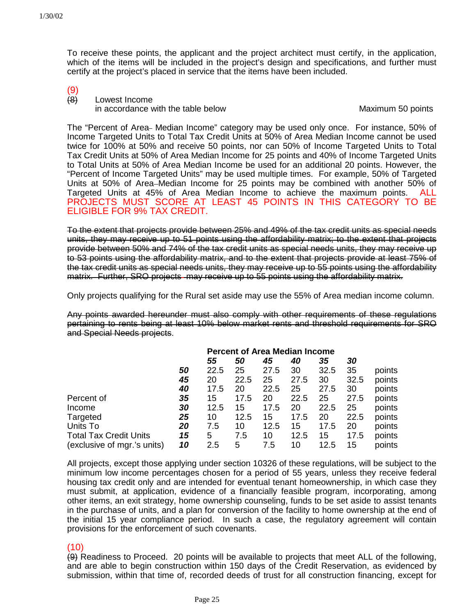To receive these points, the applicant and the project architect must certify, in the application, which of the items will be included in the project's design and specifications, and further must certify at the project's placed in service that the items have been included.

 $(9)$ <br> $(8)$ 

Lowest Income in accordance with the table below Maximum 50 points

The "Percent of Area- Median Income" category may be used only once. For instance, 50% of Income Targeted Units to Total Tax Credit Units at 50% of Area Median Income cannot be used twice for 100% at 50% and receive 50 points, nor can 50% of Income Targeted Units to Total Tax Credit Units at 50% of Area Median Income for 25 points and 40% of Income Targeted Units to Total Units at 50% of Area Median Income be used for an additional 20 points. However, the "Percent of Income Targeted Units" may be used multiple times. For example, 50% of Targeted Units at 50% of Area–Median Income for 25 points may be combined with another 50% of Targeted Units at 45% of Area Median Income to achieve the maximum points. ALL PROJECTS MUST SCORE AT LEAST 45 POINTS IN THIS CATEGORY TO BE ELIGIBLE FOR 9% TAX CREDIT.

To the extent that projects provide between 25% and 49% of the tax credit units as special needs units, they may receive up to 51 points using the affordability matrix; to the extent that projects provide between 50% and 74% of the tax credit units as special needs units, they may receive up to 53 points using the affordability matrix, and to the extent that projects provide at least 75% of the tax credit units as special needs units, they may receive up to 55 points using the affordability matrix. Further, SRO projects may receive up to 55 points using the affordability matrix.

Only projects qualifying for the Rural set aside may use the 55% of Area median income column.

Any points awarded hereunder must also comply with other requirements of these regulations pertaining to rents being at least 10% below market rents and threshold requirements for SRO and Special Needs projects.

|                               |    | <b>Percent of Area Median Income</b> |      |      |      |      |      |        |
|-------------------------------|----|--------------------------------------|------|------|------|------|------|--------|
|                               |    | 55                                   | 50   | 45   | 40   | 35   | 30   |        |
|                               | 50 | 22.5                                 | 25   | 27.5 | 30   | 32.5 | 35   | points |
|                               | 45 | 20                                   | 22.5 | 25   | 27.5 | 30   | 32.5 | points |
|                               | 40 | 17.5                                 | 20   | 22.5 | 25   | 27.5 | 30   | points |
| Percent of                    | 35 | 15                                   | 17.5 | 20   | 22.5 | 25   | 27.5 | points |
| Income                        | 30 | 12.5                                 | 15   | 17.5 | 20   | 22.5 | 25   | points |
| Targeted                      | 25 | 10                                   | 12.5 | 15   | 17.5 | 20   | 22.5 | points |
| Units To                      | 20 | 7.5                                  | 10   | 12.5 | 15   | 17.5 | 20   | points |
| <b>Total Tax Credit Units</b> | 15 | 5                                    | 7.5  | 10   | 12.5 | 15   | 17.5 | points |
| (exclusive of mgr.'s units)   | 10 | 2.5                                  | 5    | 7.5  | 10   | 12.5 | 15   | points |

All projects, except those applying under section 10326 of these regulations, will be subject to the minimum low income percentages chosen for a period of 55 years, unless they receive federal housing tax credit only and are intended for eventual tenant homeownership, in which case they must submit, at application, evidence of a financially feasible program, incorporating, among other items, an exit strategy, home ownership counseling, funds to be set aside to assist tenants in the purchase of units, and a plan for conversion of the facility to home ownership at the end of the initial 15 year compliance period. In such a case, the regulatory agreement will contain provisions for the enforcement of such covenants.

### (10)

(9) Readiness to Proceed. 20 points will be available to projects that meet ALL of the following, and are able to begin construction within 150 days of the Credit Reservation, as evidenced by submission, within that time of, recorded deeds of trust for all construction financing, except for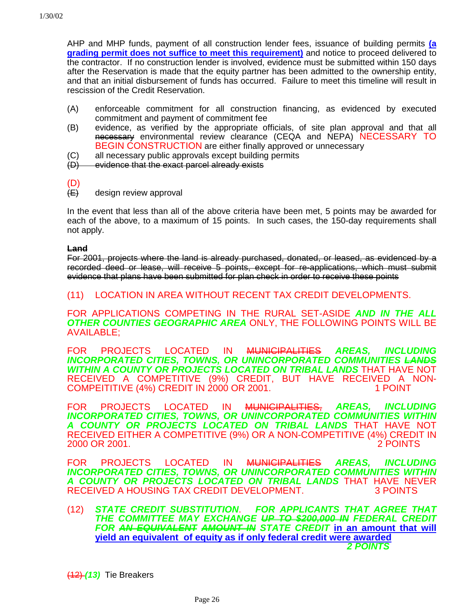AHP and MHP funds, payment of all construction lender fees, issuance of building permits **(a grading permit does not suffice to meet this requirement)** and notice to proceed delivered to the contractor. If no construction lender is involved, evidence must be submitted within 150 days after the Reservation is made that the equity partner has been admitted to the ownership entity, and that an initial disbursement of funds has occurred. Failure to meet this timeline will result in rescission of the Credit Reservation.

- (A) enforceable commitment for all construction financing, as evidenced by executed commitment and payment of commitment fee
- (B) evidence, as verified by the appropriate officials, of site plan approval and that all necessary environmental review clearance (CEQA and NEPA) NECESSARY TO BEGIN CONSTRUCTION are either finally approved or unnecessary
- (C) all necessary public approvals except building permits
- (D) evidence that the exact parcel already exists

design review approval

In the event that less than all of the above criteria have been met, 5 points may be awarded for each of the above, to a maximum of 15 points. In such cases, the 150-day requirements shall not apply.

#### **Land**

For 2001, projects where the land is already purchased, donated, or leased, as evidenced by a recorded deed or lease, will receive 5 points, except for re-applications, which must submit evidence that plans have been submitted for plan check in order to receive these points

### (11) LOCATION IN AREA WITHOUT RECENT TAX CREDIT DEVELOPMENTS.

FOR APPLICATIONS COMPETING IN THE RURAL SET-ASIDE *AND IN THE ALL OTHER COUNTIES GEOGRAPHIC AREA* ONLY, THE FOLLOWING POINTS WILL BE AVAILABLE;

FOR PROJECTS LOCATED IN MUNICIPALITIES *AREAS, INCLUDING INCORPORATED CITIES, TOWNS, OR UNINCORPORATED COMMUNITIES LANDS WITHIN A COUNTY OR PROJECTS LOCATED ON TRIBAL LANDS* THAT HAVE NOT RECEIVED A COMPETITIVE (9%) CREDIT, BUT HAVE RECEIVED A NON-<br>COMPEITITIVE (4%) CREDIT IN 2000 OR 2001. [1 POINT] COMPEITITIVE (4%) CREDIT IN 2000 OR 2001.

FOR PROJECTS LOCATED IN MUNICIPALITIES, *AREAS, INCLUDING INCORPORATED CITIES, TOWNS, OR UNINCORPORATED COMMUNITIES WITHIN A COUNTY OR PROJECTS LOCATED ON TRIBAL LANDS* THAT HAVE NOT RECEIVED EITHER A COMPETITIVE (9%) OR A NON-COMPETITIVE (4%) CREDIT IN 2000 OR 2001.

FOR PROJECTS LOCATED IN MUNICIPALITIES *AREAS, INCLUDING INCORPORATED CITIES, TOWNS, OR UNINCORPORATED COMMUNITIES WITHIN A COUNTY OR PROJECTS LOCATED ON TRIBAL LANDS* THAT HAVE NEVER RECEIVED A HOUSING TAX CREDIT DEVELOPMENT.

(12) *STATE CREDIT SUBSTITUTION*. *FOR APPLICANTS THAT AGREE THAT THE COMMITTEE MAY EXCHANGE UP TO \$200,000 IN FEDERAL CREDIT FOR AN EQUIVALENT AMOUNT IN STATE CREDIT* **in an amount that will yield an equivalent of equity as if only federal credit were awarded** *2 POINTS*

(12) *(13)* Tie Breakers

 $\frac{(D)}{(E)}$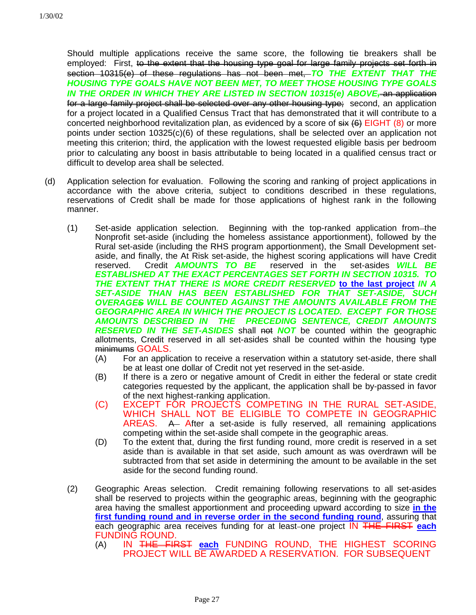Should multiple applications receive the same score, the following tie breakers shall be employed: First, to the extent that the housing type goal for large family projects set forth in section 10315(e) of these regulations has not been met, *TO THE EXTENT THAT THE HOUSING TYPE GOALS HAVE NOT BEEN MET, TO MEET THOSE HOUSING TYPE GOALS* IN THE ORDER IN WHICH THEY ARE LISTED IN SECTION 10315(e) ABOVE<del>, an application</del> for a large family project shall be selected over any other housing type; second, an application for a project located in a Qualified Census Tract that has demonstrated that it will contribute to a concerted neighborhood revitalization plan, as evidenced by a score of  $s$ ix  $(6)$  EIGHT  $(8)$  or more points under section 10325(c)(6) of these regulations, shall be selected over an application not meeting this criterion; third, the application with the lowest requested eligible basis per bedroom prior to calculating any boost in basis attributable to being located in a qualified census tract or difficult to develop area shall be selected.

- (d) Application selection for evaluation. Following the scoring and ranking of project applications in accordance with the above criteria, subject to conditions described in these regulations, reservations of Credit shall be made for those applications of highest rank in the following manner.
	- (1) Set-aside application selection. Beginning with the top-ranked application from the Nonprofit set-aside (including the homeless assistance apportionment), followed by the Rural set-aside (including the RHS program apportionment), the Small Development setaside, and finally, the At Risk set-aside, the highest scoring applications will have Credit reserved. Credit *AMOUNTS TO BE* reserved in the set-asides *WILL BE ESTABLISHED AT THE EXACT PERCENTAGES SET FORTH IN SECTION 10315. TO THE EXTENT THAT THERE IS MORE CREDIT RESERVED* **to the last project** *IN A SET-ASIDE THAN HAS BEEN ESTABLISHED FOR THAT SET-ASIDE, SUCH OVERAGES WILL BE COUNTED AGAINST THE AMOUNTS AVAILABLE FROM THE GEOGRAPHIC AREA IN WHICH THE PROJECT IS LOCATED. EXCEPT FOR THOSE AMOUNTS DESCRIBED IN THE PRECEDING SENTENCE, CREDIT AMOUNTS RESERVED IN THE SET-ASIDES* shall not **NOT** be counted within the geographic allotments, Credit reserved in all set-asides shall be counted within the housing type minimums GOALS.
		- (A) For an application to receive a reservation within a statutory set-aside, there shall be at least one dollar of Credit not yet reserved in the set-aside.
		- (B) If there is a zero or negative amount of Credit in either the federal or state credit categories requested by the applicant, the application shall be by-passed in favor of the next highest-ranking application.
		- (C) EXCEPT FOR PROJECTS COMPETING IN THE RURAL SET-ASIDE, WHICH SHALL NOT BE ELIGIBLE TO COMPETE IN GEOGRAPHIC AREAS. A After a set-aside is fully reserved, all remaining applications competing within the set-aside shall compete in the geographic areas.
		- (D) To the extent that, during the first funding round, more credit is reserved in a set aside than is available in that set aside, such amount as was overdrawn will be subtracted from that set aside in determining the amount to be available in the set aside for the second funding round.
	- (2) Geographic Areas selection. Credit remaining following reservations to all set-asides shall be reserved to projects within the geographic areas, beginning with the geographic area having the smallest apportionment and proceeding upward according to size **in the first funding round and in reverse order in the second funding round**, assuring that each geographic area receives funding for at least one project IN THE FIRST **each** FUNDING ROUND.
		- (A) IN THE FIRST **each** FUNDING ROUND, THE HIGHEST SCORING PROJECT WILL BE AWARDED A RESERVATION. FOR SUBSEQUENT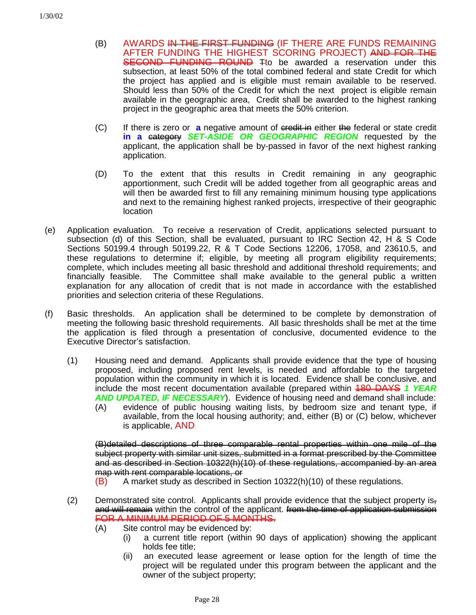- (B) AWARDS IN THE FIRST FUNDING (IF THERE ARE FUNDS REMAINING AFTER FUNDING THE HIGHEST SCORING PROJECT) AND FOR THE SECOND FUNDING ROUND Tto be awarded a reservation under this subsection, at least 50% of the total combined federal and state Credit for which the project has applied and is eligible must remain available to be reserved. Should less than 50% of the Credit for which the next project is eligible remain available in the geographic area, Credit shall be awarded to the highest ranking project in the geographic area that meets the 50% criterion.
- (C) If there is zero or **a** negative amount of credit in either the federal or state credit **in a** category *SET-ASIDE OR GEOGRAPHIC REGION* requested by the applicant, the application shall be by-passed in favor of the next highest ranking application.
- (D) To the extent that this results in Credit remaining in any geographic apportionment, such Credit will be added together from all geographic areas and will then be awarded first to fill any remaining minimum housing type applications and next to the remaining highest ranked projects, irrespective of their geographic location
- (e) Application evaluation. To receive a reservation of Credit, applications selected pursuant to subsection (d) of this Section, shall be evaluated, pursuant to IRC Section 42, H & S Code Sections 50199.4 through 50199.22, R & T Code Sections 12206, 17058, and 23610.5, and these regulations to determine if; eligible, by meeting all program eligibility requirements; complete, which includes meeting all basic threshold and additional threshold requirements; and financially feasible. The Committee shall make available to the general public a written explanation for any allocation of credit that is not made in accordance with the established priorities and selection criteria of these Regulations.
- (f) Basic thresholds. An application shall be determined to be complete by demonstration of meeting the following basic threshold requirements. All basic thresholds shall be met at the time the application is filed through a presentation of conclusive, documented evidence to the Executive Director's satisfaction.
	- (1) Housing need and demand. Applicants shall provide evidence that the type of housing proposed, including proposed rent levels, is needed and affordable to the targeted population within the community in which it is located. Evidence shall be conclusive, and include the most recent documentation available (prepared within 180 DAYS *1 YEAR AND UPDATED, IF NECESSARY*). Evidence of housing need and demand shall include: (A) evidence of public housing waiting lists, by bedroom size and tenant type, if available, from the local housing authority; and, either (B) or (C) below, whichever is applicable, AND

(B)detailed descriptions of three comparable rental properties within one mile of the subject property with similar unit sizes, submitted in a format prescribed by the Committee and as described in Section 10322(h)(10) of these regulations, accompanied by an area map with rent comparable locations, or

- $(B)$  A market study as described in Section 10322(h)(10) of these regulations.
- (2) Demonstrated site control. Applicants shall provide evidence that the subject property isand will remain within the control of the applicant. from the time of application submission FOR A MINIMUM PERIOD OF 5 MONTHS.
	- (A) Site control may be evidenced by:
		- (i) a current title report (within 90 days of application) showing the applicant holds fee title;
		- (ii) an executed lease agreement or lease option for the length of time the project will be regulated under this program between the applicant and the owner of the subject property;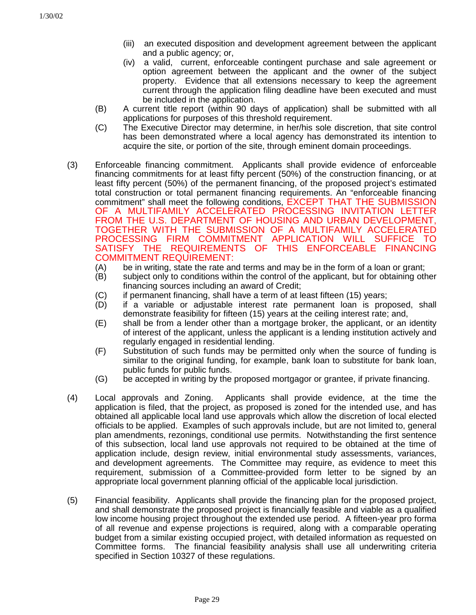- (iii) an executed disposition and development agreement between the applicant and a public agency; or,
- (iv) a valid, current, enforceable contingent purchase and sale agreement or option agreement between the applicant and the owner of the subject property. Evidence that all extensions necessary to keep the agreement current through the application filing deadline have been executed and must be included in the application.
- (B) A current title report (within 90 days of application) shall be submitted with all applications for purposes of this threshold requirement.
- (C) The Executive Director may determine, in her/his sole discretion, that site control has been demonstrated where a local agency has demonstrated its intention to acquire the site, or portion of the site, through eminent domain proceedings.
- (3) Enforceable financing commitment. Applicants shall provide evidence of enforceable financing commitments for at least fifty percent (50%) of the construction financing, or at least fifty percent (50%) of the permanent financing, of the proposed project's estimated total construction or total permanent financing requirements. An "enforceable financing commitment" shall meet the following conditions, EXCEPT THAT THE SUBMISSION OF A MULTIFAMILY ACCELERATED PROCESSING INVITATION LETTER FROM THE U.S. DEPARTMENT OF HOUSING AND URBAN DEVELOPMENT, TOGETHER WITH THE SUBMISSION OF A MULTIFAMILY ACCELERATED PROCESSING FIRM COMMITMENT APPLICATION WILL SUFFICE TO SATISFY THE REQUIREMENTS OF THIS ENFORCEABLE FINANCING COMMITMENT REQUIREMENT:
	- (A) be in writing, state the rate and terms and may be in the form of a loan or grant;
	- (B) subject only to conditions within the control of the applicant, but for obtaining other financing sources including an award of Credit;
	- (C) if permanent financing, shall have a term of at least fifteen (15) years;
	- (D) if a variable or adjustable interest rate permanent loan is proposed, shall demonstrate feasibility for fifteen (15) years at the ceiling interest rate; and,
	- (E) shall be from a lender other than a mortgage broker, the applicant, or an identity of interest of the applicant, unless the applicant is a lending institution actively and regularly engaged in residential lending.
	- (F) Substitution of such funds may be permitted only when the source of funding is similar to the original funding, for example, bank loan to substitute for bank loan, public funds for public funds.
	- (G) be accepted in writing by the proposed mortgagor or grantee, if private financing.
- (4) Local approvals and Zoning. Applicants shall provide evidence, at the time the application is filed, that the project, as proposed is zoned for the intended use, and has obtained all applicable local land use approvals which allow the discretion of local elected officials to be applied. Examples of such approvals include, but are not limited to, general plan amendments, rezonings, conditional use permits. Notwithstanding the first sentence of this subsection, local land use approvals not required to be obtained at the time of application include, design review, initial environmental study assessments, variances, and development agreements. The Committee may require, as evidence to meet this requirement, submission of a Committee-provided form letter to be signed by an appropriate local government planning official of the applicable local jurisdiction.
- (5) Financial feasibility. Applicants shall provide the financing plan for the proposed project, and shall demonstrate the proposed project is financially feasible and viable as a qualified low income housing project throughout the extended use period. A fifteen-year pro forma of all revenue and expense projections is required, along with a comparable operating budget from a similar existing occupied project, with detailed information as requested on Committee forms. The financial feasibility analysis shall use all underwriting criteria specified in Section 10327 of these regulations.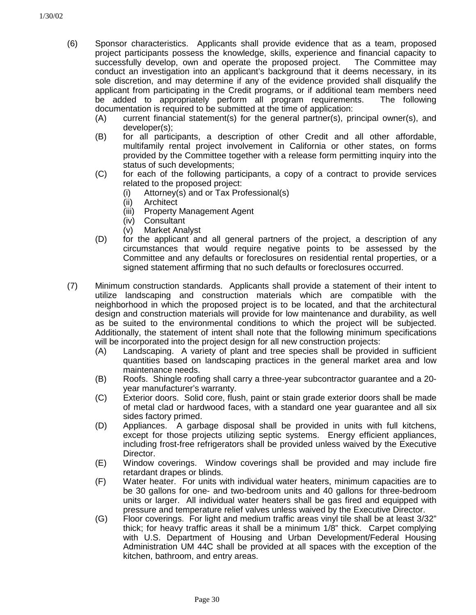- (6) Sponsor characteristics. Applicants shall provide evidence that as a team, proposed project participants possess the knowledge, skills, experience and financial capacity to successfully develop, own and operate the proposed project. The Committee may conduct an investigation into an applicant's background that it deems necessary, in its sole discretion, and may determine if any of the evidence provided shall disqualify the applicant from participating in the Credit programs, or if additional team members need be added to appropriately perform all program requirements. The following documentation is required to be submitted at the time of application:
	- (A) current financial statement(s) for the general partner(s), principal owner(s), and developer(s);
	- (B) for all participants, a description of other Credit and all other affordable, multifamily rental project involvement in California or other states, on forms provided by the Committee together with a release form permitting inquiry into the status of such developments;
	- (C) for each of the following participants, a copy of a contract to provide services related to the proposed project:
		- (i) Attorney(s) and or Tax Professional(s)
		- (ii) Architect
		- (iii) Property Management Agent
		- (iv) Consultant
		- (v) Market Analyst
	- (D) for the applicant and all general partners of the project, a description of any circumstances that would require negative points to be assessed by the Committee and any defaults or foreclosures on residential rental properties, or a signed statement affirming that no such defaults or foreclosures occurred.
- (7) Minimum construction standards. Applicants shall provide a statement of their intent to utilize landscaping and construction materials which are compatible with the neighborhood in which the proposed project is to be located, and that the architectural design and construction materials will provide for low maintenance and durability, as well as be suited to the environmental conditions to which the project will be subjected. Additionally, the statement of intent shall note that the following minimum specifications will be incorporated into the project design for all new construction projects:
	- (A) Landscaping. A variety of plant and tree species shall be provided in sufficient quantities based on landscaping practices in the general market area and low maintenance needs.
	- (B) Roofs. Shingle roofing shall carry a three-year subcontractor guarantee and a 20 year manufacturer's warranty.
	- (C) Exterior doors. Solid core, flush, paint or stain grade exterior doors shall be made of metal clad or hardwood faces, with a standard one year guarantee and all six sides factory primed.
	- (D) Appliances. A garbage disposal shall be provided in units with full kitchens, except for those projects utilizing septic systems. Energy efficient appliances, including frost-free refrigerators shall be provided unless waived by the Executive Director.
	- (E) Window coverings. Window coverings shall be provided and may include fire retardant drapes or blinds.
	- (F) Water heater. For units with individual water heaters, minimum capacities are to be 30 gallons for one- and two-bedroom units and 40 gallons for three-bedroom units or larger. All individual water heaters shall be gas fired and equipped with pressure and temperature relief valves unless waived by the Executive Director.
	- (G) Floor coverings. For light and medium traffic areas vinyl tile shall be at least 3/32" thick; for heavy traffic areas it shall be a minimum 1/8" thick. Carpet complying with U.S. Department of Housing and Urban Development/Federal Housing Administration UM 44C shall be provided at all spaces with the exception of the kitchen, bathroom, and entry areas.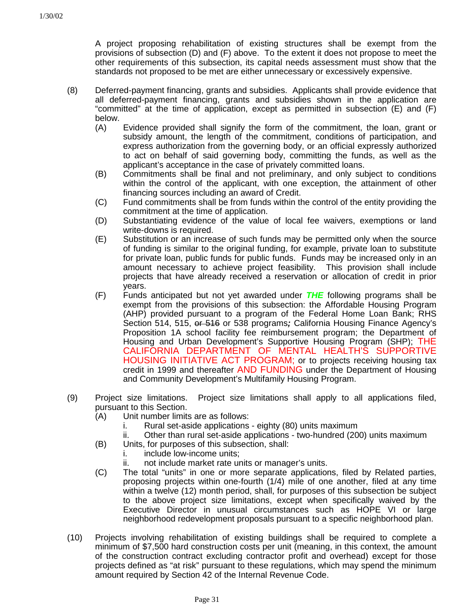A project proposing rehabilitation of existing structures shall be exempt from the provisions of subsection (D) and (F) above. To the extent it does not propose to meet the other requirements of this subsection, its capital needs assessment must show that the standards not proposed to be met are either unnecessary or excessively expensive.

- (8) Deferred-payment financing, grants and subsidies. Applicants shall provide evidence that all deferred-payment financing, grants and subsidies shown in the application are "committed" at the time of application, except as permitted in subsection (E) and (F) below.
	- (A) Evidence provided shall signify the form of the commitment, the loan, grant or subsidy amount, the length of the commitment, conditions of participation, and express authorization from the governing body, or an official expressly authorized to act on behalf of said governing body, committing the funds, as well as the applicant's acceptance in the case of privately committed loans.
	- (B) Commitments shall be final and not preliminary, and only subject to conditions within the control of the applicant, with one exception, the attainment of other financing sources including an award of Credit.
	- (C) Fund commitments shall be from funds within the control of the entity providing the commitment at the time of application.
	- (D) Substantiating evidence of the value of local fee waivers, exemptions or land write-downs is required.
	- (E) Substitution or an increase of such funds may be permitted only when the source of funding is similar to the original funding, for example, private loan to substitute for private loan, public funds for public funds. Funds may be increased only in an amount necessary to achieve project feasibility. This provision shall include projects that have already received a reservation or allocation of credit in prior years.
	- (F) Funds anticipated but not yet awarded under *THE* following programs shall be exempt from the provisions of this subsection: the Affordable Housing Program (AHP) provided pursuant to a program of the Federal Home Loan Bank; RHS Section 514, 515, or 516 or 538 programs*;* California Housing Finance Agency's Proposition 1A school facility fee reimbursement program; the Department of Housing and Urban Development's Supportive Housing Program (SHP); THE CALIFORNIA DEPARTMENT OF MENTAL HEALTH'S SUPPORTIVE HOUSING INITIATIVE ACT PROGRAM; or to projects receiving housing tax credit in 1999 and thereafter AND FUNDING under the Department of Housing and Community Development's Multifamily Housing Program.
- (9) Project size limitations. Project size limitations shall apply to all applications filed, pursuant to this Section.
	- (A) Unit number limits are as follows:
		- i. Rural set-aside applications eighty (80) units maximum
		- ii. Other than rural set-aside applications two-hundred (200) units maximum
	- (B) Units, for purposes of this subsection, shall:
		- i. include low-income units:
		- ii. not include market rate units or manager's units.
	- (C) The total "units" in one or more separate applications, filed by Related parties, proposing projects within one-fourth (1/4) mile of one another, filed at any time within a twelve (12) month period, shall, for purposes of this subsection be subject to the above project size limitations, except when specifically waived by the Executive Director in unusual circumstances such as HOPE VI or large neighborhood redevelopment proposals pursuant to a specific neighborhood plan.
- (10) Projects involving rehabilitation of existing buildings shall be required to complete a minimum of \$7,500 hard construction costs per unit (meaning, in this context, the amount of the construction contract excluding contractor profit and overhead) except for those projects defined as "at risk" pursuant to these regulations, which may spend the minimum amount required by Section 42 of the Internal Revenue Code.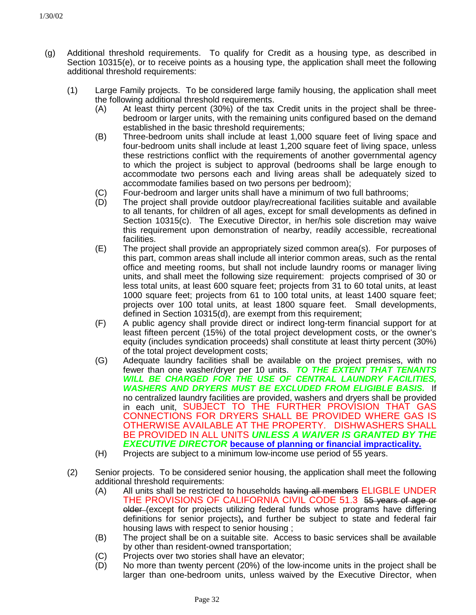- (g) Additional threshold requirements. To qualify for Credit as a housing type, as described in Section 10315(e), or to receive points as a housing type, the application shall meet the following additional threshold requirements:
	- (1) Large Family projects. To be considered large family housing, the application shall meet the following additional threshold requirements.
		- (A) At least thirty percent (30%) of the tax Credit units in the project shall be threebedroom or larger units, with the remaining units configured based on the demand established in the basic threshold requirements;
		- (B) Three-bedroom units shall include at least 1,000 square feet of living space and four-bedroom units shall include at least 1,200 square feet of living space, unless these restrictions conflict with the requirements of another governmental agency to which the project is subject to approval (bedrooms shall be large enough to accommodate two persons each and living areas shall be adequately sized to accommodate families based on two persons per bedroom);
		- (C) Four-bedroom and larger units shall have a minimum of two full bathrooms;
		- (D) The project shall provide outdoor play/recreational facilities suitable and available to all tenants, for children of all ages, except for small developments as defined in Section 10315(c). The Executive Director, in her/his sole discretion may waive this requirement upon demonstration of nearby, readily accessible, recreational facilities.
		- (E) The project shall provide an appropriately sized common area(s). For purposes of this part, common areas shall include all interior common areas, such as the rental office and meeting rooms, but shall not include laundry rooms or manager living units, and shall meet the following size requirement: projects comprised of 30 or less total units, at least 600 square feet; projects from 31 to 60 total units, at least 1000 square feet; projects from 61 to 100 total units, at least 1400 square feet; projects over 100 total units, at least 1800 square feet. Small developments, defined in Section 10315(d), are exempt from this requirement;
		- (F) A public agency shall provide direct or indirect long-term financial support for at least fifteen percent (15%) of the total project development costs, or the owner's equity (includes syndication proceeds) shall constitute at least thirty percent (30%) of the total project development costs;
		- (G) Adequate laundry facilities shall be available on the project premises, with no fewer than one washer/dryer per 10 units. *TO THE EXTENT THAT TENANTS WILL BE CHARGED FOR THE USE OF CENTRAL LAUNDRY FACILITIES, WASHERS AND DRYERS MUST BE EXCLUDED FROM ELIGIBLE BASIS.* If no centralized laundry facilities are provided, washers and dryers shall be provided in each unit, SUBJECT TO THE FURTHER PROVISION THAT GAS CONNECTIONS FOR DRYERS SHALL BE PROVIDED WHERE GAS IS OTHERWISE AVAILABLE AT THE PROPERTY. DISHWASHERS SHALL BE PROVIDED IN ALL UNITS *UNLESS A WAIVER IS GRANTED BY THE EXECUTIVE DIRECTOR* **because of planning or financial impracticality.**
		- (H) Projects are subject to a minimum low-income use period of 55 years.
	- (2) Senior projects. To be considered senior housing, the application shall meet the following additional threshold requirements:
		- (A) All units shall be restricted to households having all members ELIGBLE UNDER THE PROVISIONS OF CALIFORNIA CIVIL CODE 51.3 55 years of age or older (except for projects utilizing federal funds whose programs have differing definitions for senior projects)**,** and further be subject to state and federal fair housing laws with respect to senior housing ;
		- (B) The project shall be on a suitable site. Access to basic services shall be available by other than resident-owned transportation;
		- (C) Projects over two stories shall have an elevator;
		- (D) No more than twenty percent (20%) of the low-income units in the project shall be larger than one-bedroom units, unless waived by the Executive Director, when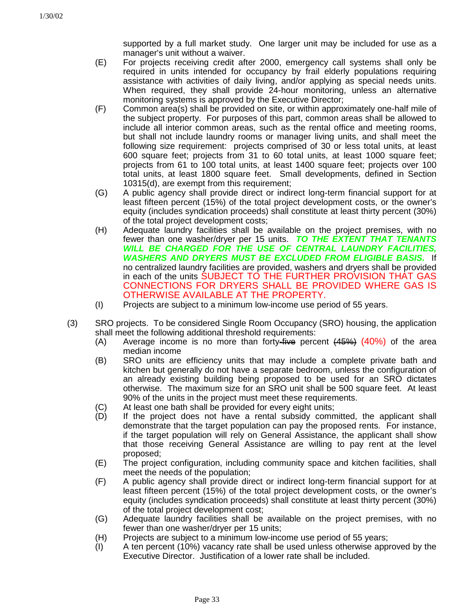supported by a full market study. One larger unit may be included for use as a manager's unit without a waiver.

- (E) For projects receiving credit after 2000, emergency call systems shall only be required in units intended for occupancy by frail elderly populations requiring assistance with activities of daily living, and/or applying as special needs units. When required, they shall provide 24-hour monitoring, unless an alternative monitoring systems is approved by the Executive Director;
- (F) Common area(s) shall be provided on site, or within approximately one-half mile of the subject property. For purposes of this part, common areas shall be allowed to include all interior common areas, such as the rental office and meeting rooms, but shall not include laundry rooms or manager living units, and shall meet the following size requirement: projects comprised of 30 or less total units, at least 600 square feet; projects from 31 to 60 total units, at least 1000 square feet; projects from 61 to 100 total units, at least 1400 square feet; projects over 100 total units, at least 1800 square feet. Small developments, defined in Section 10315(d), are exempt from this requirement;
- (G) A public agency shall provide direct or indirect long-term financial support for at least fifteen percent (15%) of the total project development costs, or the owner's equity (includes syndication proceeds) shall constitute at least thirty percent (30%) of the total project development costs;
- (H) Adequate laundry facilities shall be available on the project premises, with no fewer than one washer/dryer per 15 units. *TO THE EXTENT THAT TENANTS WILL BE CHARGED FOR THE USE OF CENTRAL LAUNDRY FACILITIES, WASHERS AND DRYERS MUST BE EXCLUDED FROM ELIGIBLE BASIS.* If no centralized laundry facilities are provided, washers and dryers shall be provided in each of the units SUBJECT TO THE FURTHER PROVISION THAT GAS CONNECTIONS FOR DRYERS SHALL BE PROVIDED WHERE GAS IS OTHERWISE AVAILABLE AT THE PROPERTY.
- (I) Projects are subject to a minimum low-income use period of 55 years.
- (3) SRO projects. To be considered Single Room Occupancy (SRO) housing, the application shall meet the following additional threshold requirements:
	- (A) Average income is no more than forty-five percent  $(45%) (40%)$  of the area median income
	- (B) SRO units are efficiency units that may include a complete private bath and kitchen but generally do not have a separate bedroom, unless the configuration of an already existing building being proposed to be used for an SRO dictates otherwise. The maximum size for an SRO unit shall be 500 square feet. At least 90% of the units in the project must meet these requirements.
	- (C) At least one bath shall be provided for every eight units;
	- (D) If the project does not have a rental subsidy committed, the applicant shall demonstrate that the target population can pay the proposed rents. For instance, if the target population will rely on General Assistance, the applicant shall show that those receiving General Assistance are willing to pay rent at the level proposed;
	- (E) The project configuration, including community space and kitchen facilities, shall meet the needs of the population;
	- (F) A public agency shall provide direct or indirect long-term financial support for at least fifteen percent (15%) of the total project development costs, or the owner's equity (includes syndication proceeds) shall constitute at least thirty percent (30%) of the total project development cost;
	- (G) Adequate laundry facilities shall be available on the project premises, with no fewer than one washer/dryer per 15 units;
	- (H) Projects are subject to a minimum low-income use period of 55 years;
	- (I) A ten percent (10%) vacancy rate shall be used unless otherwise approved by the Executive Director. Justification of a lower rate shall be included.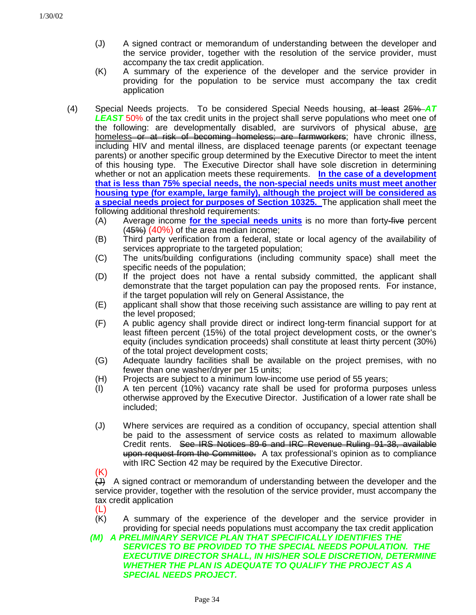- (J) A signed contract or memorandum of understanding between the developer and the service provider, together with the resolution of the service provider, must accompany the tax credit application.
- (K) A summary of the experience of the developer and the service provider in providing for the population to be service must accompany the tax credit application
- (4) Special Needs projects. To be considered Special Needs housing, at least 25% *AT LEAST* 50% of the tax credit units in the project shall serve populations who meet one of the following: are developmentally disabled, are survivors of physical abuse, are homeless or at risk of becoming homeless; are farmworkers; have chronic illness, including HIV and mental illness, are displaced teenage parents (or expectant teenage parents) or another specific group determined by the Executive Director to meet the intent of this housing type. The Executive Director shall have sole discretion in determining whether or not an application meets these requirements. **In the case of a development that is less than 75% special needs, the non-special needs units must meet another housing type (for example, large family), although the project will be considered as a special needs project for purposes of Section 10325.** The application shall meet the following additional threshold requirements:
	- (A) Average income **for the special needs units** is no more than forty-five percent  $(45%) (40%)$  of the area median income;
	- (B) Third party verification from a federal, state or local agency of the availability of services appropriate to the targeted population;
	- (C) The units/building configurations (including community space) shall meet the specific needs of the population;
	- (D) If the project does not have a rental subsidy committed, the applicant shall demonstrate that the target population can pay the proposed rents. For instance, if the target population will rely on General Assistance, the
	- (E) applicant shall show that those receiving such assistance are willing to pay rent at the level proposed;
	- (F) A public agency shall provide direct or indirect long-term financial support for at least fifteen percent (15%) of the total project development costs, or the owner's equity (includes syndication proceeds) shall constitute at least thirty percent (30%) of the total project development costs;
	- (G) Adequate laundry facilities shall be available on the project premises, with no fewer than one washer/dryer per 15 units;
	- (H) Projects are subject to a minimum low-income use period of 55 years;
	- (I) A ten percent (10%) vacancy rate shall be used for proforma purposes unless otherwise approved by the Executive Director. Justification of a lower rate shall be included;
	- (J) Where services are required as a condition of occupancy, special attention shall be paid to the assessment of service costs as related to maximum allowable Credit rents. See IRS Notices 89-6 and IRC Revenue Ruling 91-38, available upon request from the Committee. A tax professional's opinion as to compliance with IRC Section 42 may be required by the Executive Director.

 $(K)$  $\leftrightarrow$  A signed contract or memorandum of understanding between the developer and the service provider, together with the resolution of the service provider, must accompany the tax credit application

- 
- $(L)$ <br>(K) A summary of the experience of the developer and the service provider in providing for special needs populations must accompany the tax credit application
- *(M) A PRELIMINARY SERVICE PLAN THAT SPECIFICALLY IDENTIFIES THE SERVICES TO BE PROVIDED TO THE SPECIAL NEEDS POPULATION. THE EXECUTIVE DIRECTOR SHALL, IN HIS/HER SOLE DISCRETION, DETERMINE WHETHER THE PLAN IS ADEQUATE TO QUALIFY THE PROJECT AS A SPECIAL NEEDS PROJECT.*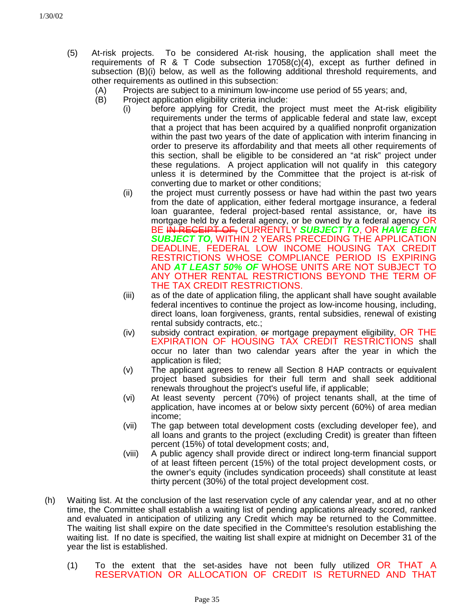- (5) At-risk projects. To be considered At-risk housing, the application shall meet the requirements of R  $\&$  T Code subsection 17058(c)(4), except as further defined in subsection (B)(i) below, as well as the following additional threshold requirements, and other requirements as outlined in this subsection:
	- (A) Projects are subject to a minimum low-income use period of 55 years; and,
	- (B) Project application eligibility criteria include:
		- (i) before applying for Credit, the project must meet the At-risk eligibility requirements under the terms of applicable federal and state law, except that a project that has been acquired by a qualified nonprofit organization within the past two years of the date of application with interim financing in order to preserve its affordability and that meets all other requirements of this section, shall be eligible to be considered an "at risk" project under these regulations. A project application will not qualify in this category unless it is determined by the Committee that the project is at-risk of converting due to market or other conditions;
		- (ii) the project must currently possess or have had within the past two years from the date of application, either federal mortgage insurance, a federal loan guarantee, federal project-based rental assistance, or, have its mortgage held by a federal agency, or be owned by a federal agency OR BE IN RECEIPT OF, CURRENTLY *SUBJECT TO*, OR *HAVE BEEN SUBJECT TO,* WITHIN 2 YEARS PRECEDING THE APPLICATION DEADLINE, FEDERAL LOW INCOME HOUSING TAX CREDIT RESTRICTIONS WHOSE COMPLIANCE PERIOD IS EXPIRING AND *AT LEAST 50% OF* WHOSE UNITS ARE NOT SUBJECT TO ANY OTHER RENTAL RESTRICTIONS BEYOND THE TERM OF THE TAX CREDIT RESTRICTIONS.
		- (iii) as of the date of application filing, the applicant shall have sought available federal incentives to continue the project as low-income housing, including, direct loans, loan forgiveness, grants, rental subsidies, renewal of existing rental subsidy contracts, etc.;
		- (iv) subsidy contract expiration,  $\theta$  mortgage prepayment eligibility, OR THE EXPIRATION OF HOUSING TAX CREDIT RESTRICTIONS shall occur no later than two calendar years after the year in which the application is filed;
		- (v) The applicant agrees to renew all Section 8 HAP contracts or equivalent project based subsidies for their full term and shall seek additional renewals throughout the project's useful life, if applicable;
		- (vi) At least seventy percent (70%) of project tenants shall, at the time of application, have incomes at or below sixty percent (60%) of area median income;
		- (vii) The gap between total development costs (excluding developer fee), and all loans and grants to the project (excluding Credit) is greater than fifteen percent (15%) of total development costs; and,
		- (viii) A public agency shall provide direct or indirect long-term financial support of at least fifteen percent (15%) of the total project development costs, or the owner's equity (includes syndication proceeds) shall constitute at least thirty percent (30%) of the total project development cost.
- (h) Waiting list. At the conclusion of the last reservation cycle of any calendar year, and at no other time, the Committee shall establish a waiting list of pending applications already scored, ranked and evaluated in anticipation of utilizing any Credit which may be returned to the Committee. The waiting list shall expire on the date specified in the Committee's resolution establishing the waiting list. If no date is specified, the waiting list shall expire at midnight on December 31 of the year the list is established.
	- (1) To the extent that the set-asides have not been fully utilized OR THAT A RESERVATION OR ALLOCATION OF CREDIT IS RETURNED AND THAT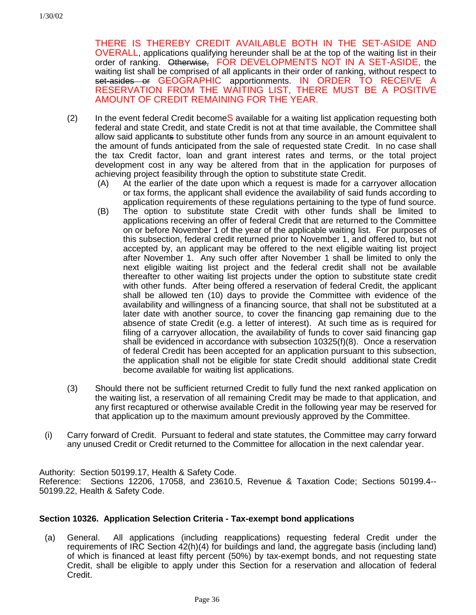THERE IS THEREBY CREDIT AVAILABLE BOTH IN THE SET-ASIDE AND OVERALL, applications qualifying hereunder shall be at the top of the waiting list in their order of ranking. Otherwise, FOR DEVELOPMENTS NOT IN A SET-ASIDE, the waiting list shall be comprised of all applicants in their order of ranking, without respect to set-asides or GEOGRAPHIC apportionments. IN ORDER TO RECEIVE A RESERVATION FROM THE WAITING LIST, THERE MUST BE A POSITIVE AMOUNT OF CREDIT REMAINING FOR THE YEAR.

- $(2)$  In the event federal Credit become S available for a waiting list application requesting both federal and state Credit, and state Credit is not at that time available, the Committee shall allow said applicants to substitute other funds from any source in an amount equivalent to the amount of funds anticipated from the sale of requested state Credit. In no case shall the tax Credit factor, loan and grant interest rates and terms, or the total project development cost in any way be altered from that in the application for purposes of achieving project feasibility through the option to substitute state Credit.
	- (A) At the earlier of the date upon which a request is made for a carryover allocation or tax forms, the applicant shall evidence the availability of said funds according to application requirements of these regulations pertaining to the type of fund source.
	- (B) The option to substitute state Credit with other funds shall be limited to applications receiving an offer of federal Credit that are returned to the Committee on or before November 1 of the year of the applicable waiting list. For purposes of this subsection, federal credit returned prior to November 1, and offered to, but not accepted by, an applicant may be offered to the next eligible waiting list project after November 1. Any such offer after November 1 shall be limited to only the next eligible waiting list project and the federal credit shall not be available thereafter to other waiting list projects under the option to substitute state credit with other funds. After being offered a reservation of federal Credit, the applicant shall be allowed ten (10) days to provide the Committee with evidence of the availability and willingness of a financing source, that shall not be substituted at a later date with another source, to cover the financing gap remaining due to the absence of state Credit (e.g. a letter of interest). At such time as is required for filing of a carryover allocation, the availability of funds to cover said financing gap shall be evidenced in accordance with subsection 10325(f)(8). Once a reservation of federal Credit has been accepted for an application pursuant to this subsection, the application shall not be eligible for state Credit should additional state Credit become available for waiting list applications.
- (3) Should there not be sufficient returned Credit to fully fund the next ranked application on the waiting list, a reservation of all remaining Credit may be made to that application, and any first recaptured or otherwise available Credit in the following year may be reserved for that application up to the maximum amount previously approved by the Committee.
- (i) Carry forward of Credit. Pursuant to federal and state statutes, the Committee may carry forward any unused Credit or Credit returned to the Committee for allocation in the next calendar year.

Authority: Section 50199.17, Health & Safety Code.

Reference: Sections 12206, 17058, and 23610.5, Revenue & Taxation Code; Sections 50199.4-- 50199.22, Health & Safety Code.

### **Section 10326. Application Selection Criteria - Tax-exempt bond applications**

(a) General. All applications (including reapplications) requesting federal Credit under the requirements of IRC Section 42(h)(4) for buildings and land, the aggregate basis (including land) of which is financed at least fifty percent (50%) by tax-exempt bonds, and not requesting state Credit, shall be eligible to apply under this Section for a reservation and allocation of federal Credit.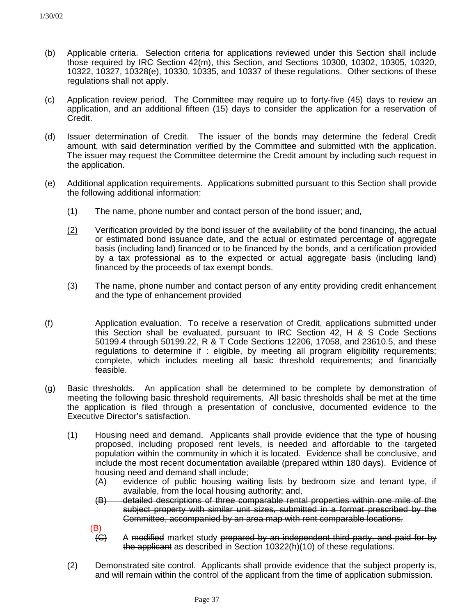- (b) Applicable criteria. Selection criteria for applications reviewed under this Section shall include those required by IRC Section 42(m), this Section, and Sections 10300, 10302, 10305, 10320, 10322, 10327, 10328(e), 10330, 10335, and 10337 of these regulations. Other sections of these regulations shall not apply.
- (c) Application review period. The Committee may require up to forty-five (45) days to review an application, and an additional fifteen (15) days to consider the application for a reservation of Credit.
- (d) Issuer determination of Credit. The issuer of the bonds may determine the federal Credit amount, with said determination verified by the Committee and submitted with the application. The issuer may request the Committee determine the Credit amount by including such request in the application.
- (e) Additional application requirements. Applications submitted pursuant to this Section shall provide the following additional information:
	- (1) The name, phone number and contact person of the bond issuer; and,
	- $(2)$  Verification provided by the bond issuer of the availability of the bond financing, the actual or estimated bond issuance date, and the actual or estimated percentage of aggregate basis (including land) financed or to be financed by the bonds, and a certification provided by a tax professional as to the expected or actual aggregate basis (including land) financed by the proceeds of tax exempt bonds.
	- (3) The name, phone number and contact person of any entity providing credit enhancement and the type of enhancement provided
- (f) Application evaluation. To receive a reservation of Credit, applications submitted under this Section shall be evaluated, pursuant to IRC Section 42, H & S Code Sections 50199.4 through 50199.22, R & T Code Sections 12206, 17058, and 23610.5, and these regulations to determine if : eligible, by meeting all program eligibility requirements; complete, which includes meeting all basic threshold requirements; and financially feasible.
- (g) Basic thresholds. An application shall be determined to be complete by demonstration of meeting the following basic threshold requirements. All basic thresholds shall be met at the time the application is filed through a presentation of conclusive, documented evidence to the Executive Director's satisfaction.
	- (1) Housing need and demand. Applicants shall provide evidence that the type of housing proposed, including proposed rent levels, is needed and affordable to the targeted population within the community in which it is located. Evidence shall be conclusive, and include the most recent documentation available (prepared within 180 days). Evidence of housing need and demand shall include;
		- (A) evidence of public housing waiting lists by bedroom size and tenant type, if available, from the local housing authority; and,
		- (B) detailed descriptions of three comparable rental properties within one mile of the subject property with similar unit sizes, submitted in a format prescribed by the Committee, accompanied by an area map with rent comparable locations.
		- (B)
		- (C) A modified market study prepared by an independent third party, and paid for by the applicant as described in Section 10322(h)(10) of these regulations.
	- (2) Demonstrated site control. Applicants shall provide evidence that the subject property is, and will remain within the control of the applicant from the time of application submission.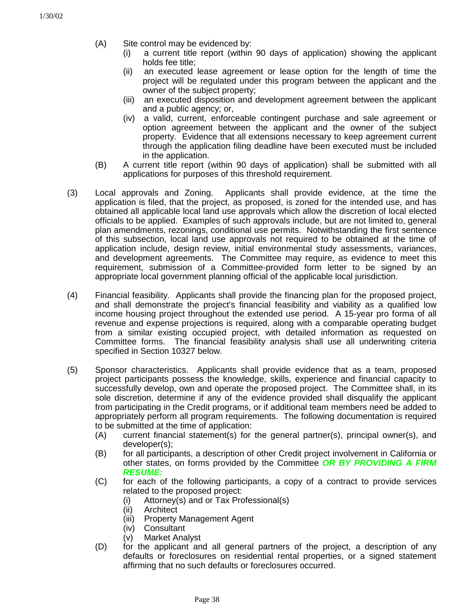- (A) Site control may be evidenced by:
	- (i) a current title report (within 90 days of application) showing the applicant holds fee title;
	- (ii) an executed lease agreement or lease option for the length of time the project will be regulated under this program between the applicant and the owner of the subject property;
	- (iii) an executed disposition and development agreement between the applicant and a public agency; or,
	- (iv) a valid, current, enforceable contingent purchase and sale agreement or option agreement between the applicant and the owner of the subject property. Evidence that all extensions necessary to keep agreement current through the application filing deadline have been executed must be included in the application.
- (B) A current title report (within 90 days of application) shall be submitted with all applications for purposes of this threshold requirement.
- (3) Local approvals and Zoning. Applicants shall provide evidence, at the time the application is filed, that the project, as proposed, is zoned for the intended use, and has obtained all applicable local land use approvals which allow the discretion of local elected officials to be applied. Examples of such approvals include, but are not limited to, general plan amendments, rezonings, conditional use permits. Notwithstanding the first sentence of this subsection, local land use approvals not required to be obtained at the time of application include, design review, initial environmental study assessments, variances, and development agreements. The Committee may require, as evidence to meet this requirement, submission of a Committee-provided form letter to be signed by an appropriate local government planning official of the applicable local jurisdiction.
- (4) Financial feasibility. Applicants shall provide the financing plan for the proposed project, and shall demonstrate the project's financial feasibility and viability as a qualified low income housing project throughout the extended use period. A 15-year pro forma of all revenue and expense projections is required, along with a comparable operating budget from a similar existing occupied project, with detailed information as requested on Committee forms. The financial feasibility analysis shall use all underwriting criteria specified in Section 10327 below.
- (5) Sponsor characteristics. Applicants shall provide evidence that as a team, proposed project participants possess the knowledge, skills, experience and financial capacity to successfully develop, own and operate the proposed project. The Committee shall, in its sole discretion, determine if any of the evidence provided shall disqualify the applicant from participating in the Credit programs, or if additional team members need be added to appropriately perform all program requirements. The following documentation is required to be submitted at the time of application:
	- (A) current financial statement(s) for the general partner(s), principal owner(s), and developer(s);
	- (B) for all participants, a description of other Credit project involvement in California or other states, on forms provided by the Committee *OR BY PROVIDING A FIRM RESUME:*
	- (C) for each of the following participants, a copy of a contract to provide services related to the proposed project:
		- (i) Attorney(s) and or Tax Professional(s)
		- (ii) Architect
		- (iii) Property Management Agent
		- (iv) Consultant
		- (v) Market Analyst
	- (D) for the applicant and all general partners of the project, a description of any defaults or foreclosures on residential rental properties, or a signed statement affirming that no such defaults or foreclosures occurred.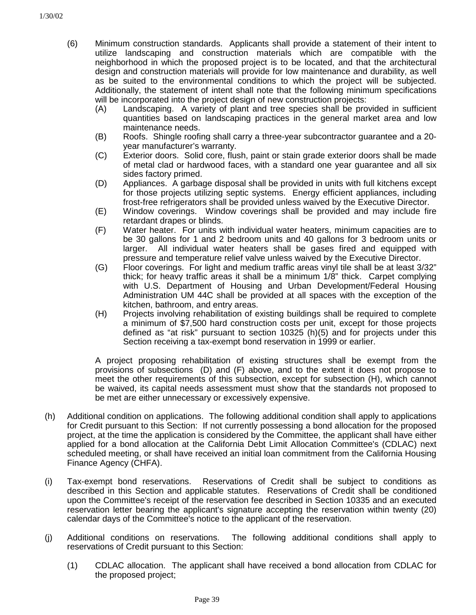- (6) Minimum construction standards. Applicants shall provide a statement of their intent to utilize landscaping and construction materials which are compatible with the neighborhood in which the proposed project is to be located, and that the architectural design and construction materials will provide for low maintenance and durability, as well as be suited to the environmental conditions to which the project will be subjected. Additionally, the statement of intent shall note that the following minimum specifications will be incorporated into the project design of new construction projects:
	- (A) Landscaping. A variety of plant and tree species shall be provided in sufficient quantities based on landscaping practices in the general market area and low maintenance needs.
	- (B) Roofs. Shingle roofing shall carry a three-year subcontractor guarantee and a 20 year manufacturer's warranty.
	- (C) Exterior doors. Solid core, flush, paint or stain grade exterior doors shall be made of metal clad or hardwood faces, with a standard one year guarantee and all six sides factory primed.
	- (D) Appliances. A garbage disposal shall be provided in units with full kitchens except for those projects utilizing septic systems. Energy efficient appliances, including frost-free refrigerators shall be provided unless waived by the Executive Director.
	- (E) Window coverings. Window coverings shall be provided and may include fire retardant drapes or blinds.
	- (F) Water heater. For units with individual water heaters, minimum capacities are to be 30 gallons for 1 and 2 bedroom units and 40 gallons for 3 bedroom units or larger. All individual water heaters shall be gases fired and equipped with pressure and temperature relief valve unless waived by the Executive Director.
	- (G) Floor coverings. For light and medium traffic areas vinyl tile shall be at least 3/32" thick; for heavy traffic areas it shall be a minimum 1/8" thick. Carpet complying with U.S. Department of Housing and Urban Development/Federal Housing Administration UM 44C shall be provided at all spaces with the exception of the kitchen, bathroom, and entry areas.
	- (H) Projects involving rehabilitation of existing buildings shall be required to complete a minimum of \$7,500 hard construction costs per unit, except for those projects defined as "at risk" pursuant to section 10325 (h)(5) and for projects under this Section receiving a tax-exempt bond reservation in 1999 or earlier.

A project proposing rehabilitation of existing structures shall be exempt from the provisions of subsections (D) and (F) above, and to the extent it does not propose to meet the other requirements of this subsection, except for subsection (H), which cannot be waived, its capital needs assessment must show that the standards not proposed to be met are either unnecessary or excessively expensive.

- (h) Additional condition on applications. The following additional condition shall apply to applications for Credit pursuant to this Section: If not currently possessing a bond allocation for the proposed project, at the time the application is considered by the Committee, the applicant shall have either applied for a bond allocation at the California Debt Limit Allocation Committee's (CDLAC) next scheduled meeting, or shall have received an initial loan commitment from the California Housing Finance Agency (CHFA).
- (i) Tax-exempt bond reservations. Reservations of Credit shall be subject to conditions as described in this Section and applicable statutes. Reservations of Credit shall be conditioned upon the Committee's receipt of the reservation fee described in Section 10335 and an executed reservation letter bearing the applicant's signature accepting the reservation within twenty (20) calendar days of the Committee's notice to the applicant of the reservation.
- (j) Additional conditions on reservations. The following additional conditions shall apply to reservations of Credit pursuant to this Section:
	- (1) CDLAC allocation. The applicant shall have received a bond allocation from CDLAC for the proposed project;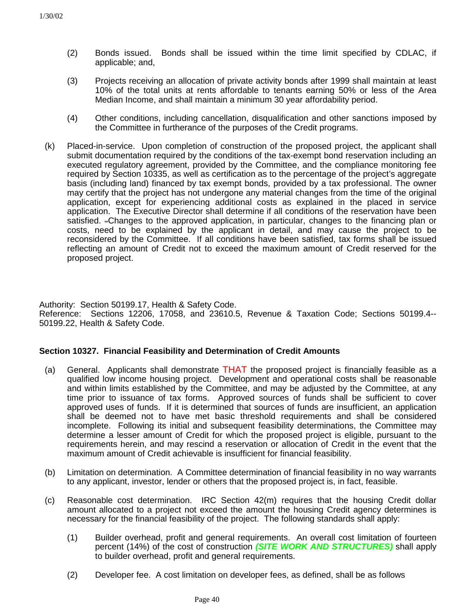- (2) Bonds issued. Bonds shall be issued within the time limit specified by CDLAC, if applicable; and,
- (3) Projects receiving an allocation of private activity bonds after 1999 shall maintain at least 10% of the total units at rents affordable to tenants earning 50% or less of the Area Median Income, and shall maintain a minimum 30 year affordability period.
- (4) Other conditions, including cancellation, disqualification and other sanctions imposed by the Committee in furtherance of the purposes of the Credit programs.
- (k) Placed-in-service. Upon completion of construction of the proposed project, the applicant shall submit documentation required by the conditions of the tax-exempt bond reservation including an executed regulatory agreement, provided by the Committee, and the compliance monitoring fee required by Section 10335, as well as certification as to the percentage of the project's aggregate basis (including land) financed by tax exempt bonds, provided by a tax professional. The owner may certify that the project has not undergone any material changes from the time of the original application, except for experiencing additional costs as explained in the placed in service application.The Executive Director shall determine if all conditions of the reservation have been satisfied. –Changes to the approved application, in particular, changes to the financing plan or costs, need to be explained by the applicant in detail, and may cause the project to be reconsidered by the Committee. If all conditions have been satisfied, tax forms shall be issued reflecting an amount of Credit not to exceed the maximum amount of Credit reserved for the proposed project.

Authority: Section 50199.17, Health & Safety Code. Reference: Sections 12206, 17058, and 23610.5, Revenue & Taxation Code; Sections 50199.4-- 50199.22, Health & Safety Code.

### **Section 10327. Financial Feasibility and Determination of Credit Amounts**

- (a) General. Applicants shall demonstrate THAT the proposed project is financially feasible as a qualified low income housing project. Development and operational costs shall be reasonable and within limits established by the Committee, and may be adjusted by the Committee, at any time prior to issuance of tax forms. Approved sources of funds shall be sufficient to cover approved uses of funds. If it is determined that sources of funds are insufficient, an application shall be deemed not to have met basic threshold requirements and shall be considered incomplete. Following its initial and subsequent feasibility determinations, the Committee may determine a lesser amount of Credit for which the proposed project is eligible, pursuant to the requirements herein, and may rescind a reservation or allocation of Credit in the event that the maximum amount of Credit achievable is insufficient for financial feasibility.
- (b) Limitation on determination. A Committee determination of financial feasibility in no way warrants to any applicant, investor, lender or others that the proposed project is, in fact, feasible.
- (c) Reasonable cost determination. IRC Section 42(m) requires that the housing Credit dollar amount allocated to a project not exceed the amount the housing Credit agency determines is necessary for the financial feasibility of the project. The following standards shall apply:
	- (1) Builder overhead, profit and general requirements. An overall cost limitation of fourteen percent (14%) of the cost of construction *(SITE WORK AND STRUCTURES)* shall apply to builder overhead, profit and general requirements.
	- (2) Developer fee. A cost limitation on developer fees, as defined, shall be as follows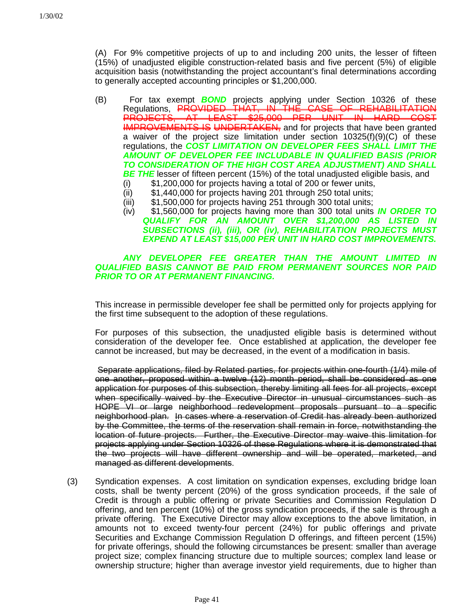(A) For 9% competitive projects of up to and including 200 units, the lesser of fifteen (15%) of unadjusted eligible construction-related basis and five percent (5%) of eligible acquisition basis (notwithstanding the project accountant's final determinations according to generally accepted accounting principles or \$1,200,000.

- (B) For tax exempt *BOND* projects applying under Section 10326 of these Regulations, PROVIDED THAT, IN THE CASE OF REHABILITATION PROJECTS, AT LEAST \$25,000 PER UNIT IN HARD COST IMPROVEMENTS IS UNDERTAKEN, and for projects that have been granted a waiver of the project size limitation under section 10325(f)(9)(C) of these regulations, the *COST LIMITATION ON DEVELOPER FEES SHALL LIMIT THE AMOUNT OF DEVELOPER FEE INCLUDABLE IN QUALIFIED BASIS (PRIOR TO CONSIDERATION OF THE HIGH COST AREA ADJUSTMENT) AND SHALL BE THE* lesser of fifteen percent (15%) of the total unadjusted eligible basis, and
	- (i) \$1,200,000 for projects having a total of 200 or fewer units,
	- (ii) \$1,440,000 for projects having 201 through 250 total units;
	- (iii) \$1,500,000 for projects having 251 through 300 total units;
	- (iv) \$1,560,000 for projects having more than 300 total units *IN ORDER TO QUALIFY FOR AN AMOUNT OVER \$1,200,000 AS LISTED IN SUBSECTIONS (ii), (iii), OR (iv), REHABILITATION PROJECTS MUST EXPEND AT LEAST \$15,000 PER UNIT IN HARD COST IMPROVEMENTS.*

#### *ANY DEVELOPER FEE GREATER THAN THE AMOUNT LIMITED IN QUALIFIED BASIS CANNOT BE PAID FROM PERMANENT SOURCES NOR PAID PRIOR TO OR AT PERMANENT FINANCING.*

This increase in permissible developer fee shall be permitted only for projects applying for the first time subsequent to the adoption of these regulations.

For purposes of this subsection, the unadjusted eligible basis is determined without consideration of the developer fee. Once established at application, the developer fee cannot be increased, but may be decreased, in the event of a modification in basis.

 Separate applications, filed by Related parties, for projects within one-fourth (1/4) mile of one another, proposed within a twelve (12) month period, shall be considered as one application for purposes of this subsection, thereby limiting all fees for all projects, except when specifically waived by the Executive Director in unusual circumstances such as HOPE VI or large neighborhood redevelopment proposals pursuant to a specific neighborhood plan. In cases where a reservation of Credit has already been authorized by the Committee, the terms of the reservation shall remain in force, notwithstanding the location of future projects. Further, the Executive Director may waive this limitation for projects applying under Section 10326 of these Regulations where it is demonstrated that the two projects will have different ownership and will be operated, marketed, and managed as different developments.

(3) Syndication expenses. A cost limitation on syndication expenses, excluding bridge loan costs, shall be twenty percent (20%) of the gross syndication proceeds, if the sale of Credit is through a public offering or private Securities and Commission Regulation D offering, and ten percent (10%) of the gross syndication proceeds, if the sale is through a private offering. The Executive Director may allow exceptions to the above limitation, in amounts not to exceed twenty-four percent (24%) for public offerings and private Securities and Exchange Commission Regulation D offerings, and fifteen percent (15%) for private offerings, should the following circumstances be present: smaller than average project size; complex financing structure due to multiple sources; complex land lease or ownership structure; higher than average investor yield requirements, due to higher than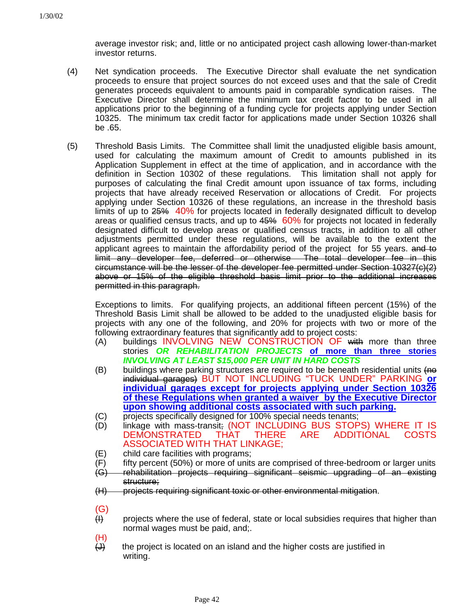average investor risk; and, little or no anticipated project cash allowing lower-than-market investor returns.

- (4) Net syndication proceeds. The Executive Director shall evaluate the net syndication proceeds to ensure that project sources do not exceed uses and that the sale of Credit generates proceeds equivalent to amounts paid in comparable syndication raises. The Executive Director shall determine the minimum tax credit factor to be used in all applications prior to the beginning of a funding cycle for projects applying under Section 10325. The minimum tax credit factor for applications made under Section 10326 shall be .65.
- (5) Threshold Basis Limits. The Committee shall limit the unadjusted eligible basis amount, used for calculating the maximum amount of Credit to amounts published in its Application Supplement in effect at the time of application, and in accordance with the definition in Section 10302 of these regulations. This limitation shall not apply for purposes of calculating the final Credit amount upon issuance of tax forms, including projects that have already received Reservation or allocations of Credit. For projects applying under Section 10326 of these regulations, an increase in the threshold basis limits of up to 25% 40% for projects located in federally designated difficult to develop areas or qualified census tracts, and up to 45% 60% for projects not located in federally designated difficult to develop areas or qualified census tracts, in addition to all other adjustments permitted under these regulations, will be available to the extent the applicant agrees to maintain the affordability period of the project for 55 years. and to limit any developer fee, deferred or otherwise The total developer fee in this circumstance will be the lesser of the developer fee permitted under Section 10327(c)(2) above or 15% of the eligible threshold basis limit prior to the additional increases permitted in this paragraph.

Exceptions to limits. For qualifying projects, an additional fifteen percent (15%) of the Threshold Basis Limit shall be allowed to be added to the unadjusted eligible basis for projects with any one of the following, and 20% for projects with two or more of the following extraordinary features that significantly add to project costs:

- (A) buildings INVOLVING NEW CONSTRUCTION OF with more than three stories *OR REHABILITATION PROJECTS* **of more than three stories** *INVOLVING AT LEAST \$15,000 PER UNIT IN HARD COSTS*
- (B) buildings where parking structures are required to be beneath residential units  $\overline{(he)}$ individual garages) BUT NOT INCLUDING "TUCK UNDER" PARKING **or individual garages except for projects applying under Section 10326 of these Regulations when granted a waiver by the Executive Director upon showing additional costs associated with such parking.**
- (C) projects specifically designed for 100% special needs tenants;
- (D) linkage with mass-transit; (NOT INCLUDING BUS STOPS) WHERE IT IS<br>DEMONSTRATED THAT THERE ARE ADDITIONAL COSTS DEMONSTRATED THAT THERE ARE ADDITIONAL COSTS ASSOCIATED WITH THAT LINKAGE;
- (E) child care facilities with programs;
- (F) fifty percent (50%) or more of units are comprised of three-bedroom or larger units
- (G) rehabilitation projects requiring significant seismic upgrading of an existing structure:
- (H) projects requiring significant toxic or other environmental mitigation.
- (G)
- $H$  projects where the use of federal, state or local subsidies requires that higher than normal wages must be paid, and;.
- (H)
- $\overline{(d)}$  the project is located on an island and the higher costs are justified in writing.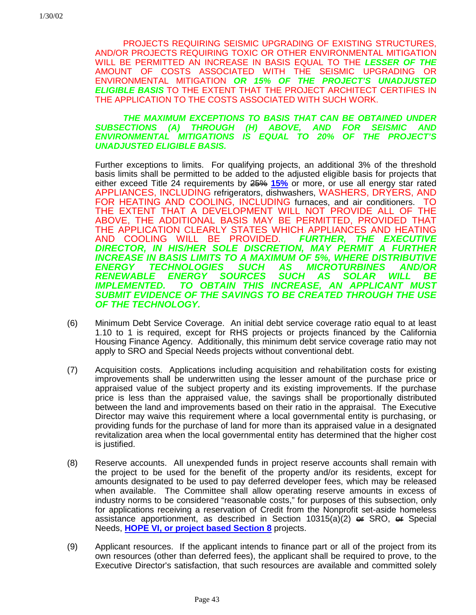PROJECTS REQUIRING SEISMIC UPGRADING OF EXISTING STRUCTURES, AND/OR PROJECTS REQUIRING TOXIC OR OTHER ENVIRONMENTAL MITIGATION WILL BE PERMITTED AN INCREASE IN BASIS EQUAL TO THE *LESSER OF THE* AMOUNT OF COSTS ASSOCIATED WITH THE SEISMIC UPGRADING OR ENVIRONMENTAL MITIGATION *OR 15% OF THE PROJECT'S UNADJUSTED ELIGIBLE BASIS* TO THE EXTENT THAT THE PROJECT ARCHITECT CERTIFIES IN THE APPLICATION TO THE COSTS ASSOCIATED WITH SUCH WORK.

### *THE MAXIMUM EXCEPTIONS TO BASIS THAT CAN BE OBTAINED UNDER SUBSECTIONS (A) THROUGH (H) ABOVE, AND FOR SEISMIC AND ENVIRONMENTAL MITIGATIONS IS EQUAL TO 20% OF THE PROJECT'S UNADJUSTED ELIGIBLE BASIS.*

Further exceptions to limits. For qualifying projects, an additional 3% of the threshold basis limits shall be permitted to be added to the adjusted eligible basis for projects that either exceed Title 24 requirements by 25% **15%** or more, or use all energy star rated APPLIANCES, INCLUDING refrigerators, dishwashers, WASHERS, DRYERS, AND FOR HEATING AND COOLING, INCLUDING furnaces, and air conditioners. TO THE EXTENT THAT A DEVELOPMENT WILL NOT PROVIDE ALL OF THE ABOVE, THE ADDITIONAL BASIS MAY BE PERMITTED, PROVIDED THAT THE APPLICATION CLEARLY STATES WHICH APPLIANCES AND HEATING AND COOLING WILL BE PROVIDED. *DIRECTOR, IN HIS/HER SOLE DISCRETION, MAY PERMIT A FURTHER INCREASE IN BASIS LIMITS TO A MAXIMUM OF 5%, WHERE DISTRIBUTIVE ENERGY TECHNOLOGIES SUCH AS MICROTURBINES AND/OR RENEWABLE ENERGY SOURCES SUCH AS SOLAR WILL BE TO OBTAIN THIS INCREASE, AN APPLICANT MUST SUBMIT EVIDENCE OF THE SAVINGS TO BE CREATED THROUGH THE USE OF THE TECHNOLOGY.*

- (6) Minimum Debt Service Coverage. An initial debt service coverage ratio equal to at least 1.10 to 1 is required, except for RHS projects or projects financed by the California Housing Finance Agency. Additionally, this minimum debt service coverage ratio may not apply to SRO and Special Needs projects without conventional debt.
- (7) Acquisition costs. Applications including acquisition and rehabilitation costs for existing improvements shall be underwritten using the lesser amount of the purchase price or appraised value of the subject property and its existing improvements. If the purchase price is less than the appraised value, the savings shall be proportionally distributed between the land and improvements based on their ratio in the appraisal. The Executive Director may waive this requirement where a local governmental entity is purchasing, or providing funds for the purchase of land for more than its appraised value in a designated revitalization area when the local governmental entity has determined that the higher cost is justified.
- (8) Reserve accounts. All unexpended funds in project reserve accounts shall remain with the project to be used for the benefit of the property and/or its residents, except for amounts designated to be used to pay deferred developer fees, which may be released when available. The Committee shall allow operating reserve amounts in excess of industry norms to be considered "reasonable costs," for purposes of this subsection, only for applications receiving a reservation of Credit from the Nonprofit set-aside homeless assistance apportionment, as described in Section  $10315(a)(2) \oplus SNR$  SRO,  $\oplus$  Special Needs, **HOPE VI, or project based Section 8** projects.
- (9) Applicant resources. If the applicant intends to finance part or all of the project from its own resources (other than deferred fees), the applicant shall be required to prove, to the Executive Director's satisfaction, that such resources are available and committed solely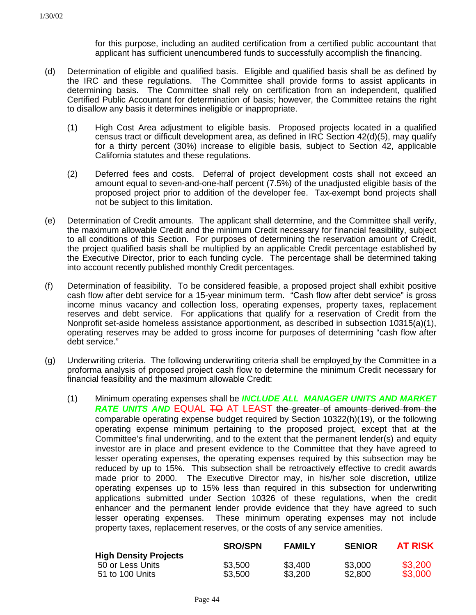for this purpose, including an audited certification from a certified public accountant that applicant has sufficient unencumbered funds to successfully accomplish the financing.

- (d) Determination of eligible and qualified basis. Eligible and qualified basis shall be as defined by the IRC and these regulations. The Committee shall provide forms to assist applicants in determining basis. The Committee shall rely on certification from an independent, qualified Certified Public Accountant for determination of basis; however, the Committee retains the right to disallow any basis it determines ineligible or inappropriate.
	- (1) High Cost Area adjustment to eligible basis. Proposed projects located in a qualified census tract or difficult development area, as defined in IRC Section 42(d)(5), may qualify for a thirty percent (30%) increase to eligible basis, subject to Section 42, applicable California statutes and these regulations.
	- (2) Deferred fees and costs. Deferral of project development costs shall not exceed an amount equal to seven-and-one-half percent (7.5%) of the unadjusted eligible basis of the proposed project prior to addition of the developer fee. Tax-exempt bond projects shall not be subject to this limitation.
- (e) Determination of Credit amounts. The applicant shall determine, and the Committee shall verify, the maximum allowable Credit and the minimum Credit necessary for financial feasibility, subject to all conditions of this Section. For purposes of determining the reservation amount of Credit, the project qualified basis shall be multiplied by an applicable Credit percentage established by the Executive Director, prior to each funding cycle. The percentage shall be determined taking into account recently published monthly Credit percentages.
- (f) Determination of feasibility. To be considered feasible, a proposed project shall exhibit positive cash flow after debt service for a 15-year minimum term. "Cash flow after debt service" is gross income minus vacancy and collection loss, operating expenses, property taxes, replacement reserves and debt service. For applications that qualify for a reservation of Credit from the Nonprofit set-aside homeless assistance apportionment, as described in subsection 10315(a)(1), operating reserves may be added to gross income for purposes of determining "cash flow after debt service."
- (g) Underwriting criteria. The following underwriting criteria shall be employed by the Committee in a proforma analysis of proposed project cash flow to determine the minimum Credit necessary for financial feasibility and the maximum allowable Credit:
	- (1) Minimum operating expenses shall be *INCLUDE ALL MANAGER UNITS AND MARKET RATE UNITS AND* EQUAL **TO** AT LEAST the greater of amounts derived from the comparable operating expense budget required by Section 10322(h)(19), or the following operating expense minimum pertaining to the proposed project, except that at the Committee's final underwriting, and to the extent that the permanent lender(s) and equity investor are in place and present evidence to the Committee that they have agreed to lesser operating expenses, the operating expenses required by this subsection may be reduced by up to 15%. This subsection shall be retroactively effective to credit awards made prior to 2000. The Executive Director may, in his/her sole discretion, utilize operating expenses up to 15% less than required in this subsection for underwriting applications submitted under Section 10326 of these regulations, when the credit enhancer and the permanent lender provide evidence that they have agreed to such lesser operating expenses. These minimum operating expenses may not include property taxes, replacement reserves, or the costs of any service amenities.

|                              | <b>SRO/SPN</b> | <b>FAMILY</b> | <b>SENIOR</b> | <b>AT RISK</b> |
|------------------------------|----------------|---------------|---------------|----------------|
| <b>High Density Projects</b> |                |               |               |                |
| 50 or Less Units             | \$3,500        | \$3,400       | \$3,000       | \$3,200        |
| 51 to 100 Units              | \$3.500        | \$3,200       | \$2,800       | \$3,000        |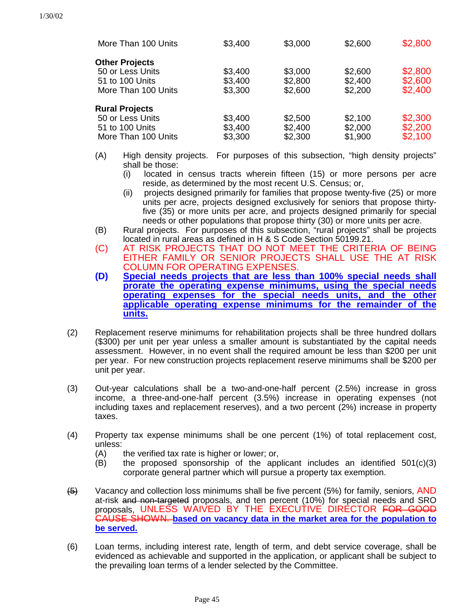| More Than 100 Units   | \$3,400 | \$3,000 | \$2,600 | \$2,800 |
|-----------------------|---------|---------|---------|---------|
| <b>Other Projects</b> |         |         |         |         |
| 50 or Less Units      | \$3,400 | \$3,000 | \$2,600 | \$2,800 |
| 51 to 100 Units       | \$3,400 | \$2,800 | \$2,400 | \$2,600 |
| More Than 100 Units   | \$3,300 | \$2,600 | \$2,200 | \$2,400 |
| <b>Rural Projects</b> |         |         |         |         |
| 50 or Less Units      | \$3,400 | \$2,500 | \$2,100 | \$2,300 |
| 51 to 100 Units       | \$3,400 | \$2,400 | \$2,000 | \$2,200 |
| More Than 100 Units   | \$3,300 | \$2,300 | \$1,900 | \$2,100 |

- (A) High density projects. For purposes of this subsection, "high density projects" shall be those:
	- (i) located in census tracts wherein fifteen (15) or more persons per acre reside, as determined by the most recent U.S. Census; or,
	- (ii) projects designed primarily for families that propose twenty-five (25) or more units per acre, projects designed exclusively for seniors that propose thirtyfive (35) or more units per acre, and projects designed primarily for special needs or other populations that propose thirty (30) or more units per acre.
- (B) Rural projects. For purposes of this subsection, "rural projects" shall be projects located in rural areas as defined in H & S Code Section 50199.21.
- (C) AT RISK PROJECTS THAT DO NOT MEET THE CRITERIA OF BEING EITHER FAMILY OR SENIOR PROJECTS SHALL USE THE AT RISK COLUMN FOR OPERATING EXPENSES.
- **(D) Special needs projects that are less than 100% special needs shall prorate the operating expense minimums, using the special needs operating expenses for the special needs units, and the other applicable operating expense minimums for the remainder of the units.**
- (2) Replacement reserve minimums for rehabilitation projects shall be three hundred dollars (\$300) per unit per year unless a smaller amount is substantiated by the capital needs assessment. However, in no event shall the required amount be less than \$200 per unit per year. For new construction projects replacement reserve minimums shall be \$200 per unit per year.
- (3) Out-year calculations shall be a two-and-one-half percent (2.5%) increase in gross income, a three-and-one-half percent (3.5%) increase in operating expenses (not including taxes and replacement reserves), and a two percent (2%) increase in property taxes.
- (4) Property tax expense minimums shall be one percent (1%) of total replacement cost, unless:
	- (A) the verified tax rate is higher or lower; or,
	- $(B)$  the proposed sponsorship of the applicant includes an identified  $501(c)(3)$ corporate general partner which will pursue a property tax exemption.
- $\overline{45}$  Vacancy and collection loss minimums shall be five percent (5%) for family, seniors, AND at-risk and non-targeted proposals, and ten percent (10%) for special needs and SRO proposals, UNLESS WAIVED BY THE EXECUTIVE DIRECTOR FOR GOOD CAUSE SHOWN. **based on vacancy data in the market area for the population to be served.**
- (6) Loan terms, including interest rate, length of term, and debt service coverage, shall be evidenced as achievable and supported in the application, or applicant shall be subject to the prevailing loan terms of a lender selected by the Committee.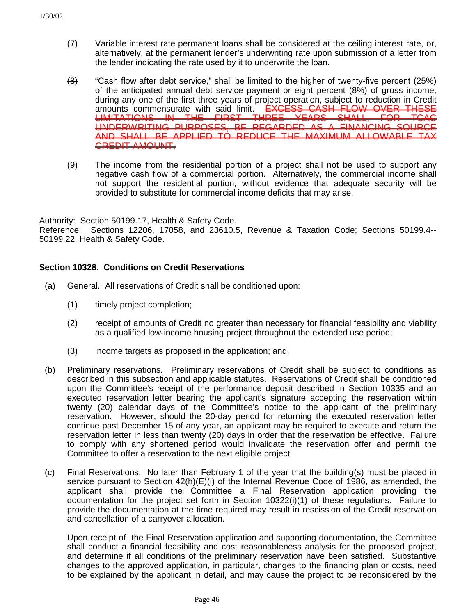- (7) Variable interest rate permanent loans shall be considered at the ceiling interest rate, or, alternatively, at the permanent lender's underwriting rate upon submission of a letter from the lender indicating the rate used by it to underwrite the loan.
- $\left( \frac{1}{2} \right)$  "Cash flow after debt service," shall be limited to the higher of twenty-five percent (25%) of the anticipated annual debt service payment or eight percent (8%) of gross income, during any one of the first three years of project operation, subject to reduction in Credit amounts commensurate with said limit. EXCESS CASH FLOW OVER THESE<br>LIMITATIONS IN THE FIRST THREE YEARS SHALL. FOR TCAC **FIRST THREE YEARS** UNDERWRITING PURPOSES, BE REGARDED AS A FINANCING SOURCE AND SHALL BE APPLIED TO REDUCE THE MAXIMUM ALLOWABLE TAX CREDIT AMOUNT.
- (9) The income from the residential portion of a project shall not be used to support any negative cash flow of a commercial portion. Alternatively, the commercial income shall not support the residential portion, without evidence that adequate security will be provided to substitute for commercial income deficits that may arise.

Authority: Section 50199.17, Health & Safety Code.

Reference: Sections 12206, 17058, and 23610.5, Revenue & Taxation Code; Sections 50199.4-- 50199.22, Health & Safety Code.

### **Section 10328. Conditions on Credit Reservations**

- (a) General. All reservations of Credit shall be conditioned upon:
	- (1) timely project completion;
	- (2) receipt of amounts of Credit no greater than necessary for financial feasibility and viability as a qualified low-income housing project throughout the extended use period;
	- (3) income targets as proposed in the application; and,
- (b) Preliminary reservations. Preliminary reservations of Credit shall be subject to conditions as described in this subsection and applicable statutes. Reservations of Credit shall be conditioned upon the Committee's receipt of the performance deposit described in Section 10335 and an executed reservation letter bearing the applicant's signature accepting the reservation within twenty (20) calendar days of the Committee's notice to the applicant of the preliminary reservation. However, should the 20-day period for returning the executed reservation letter continue past December 15 of any year, an applicant may be required to execute and return the reservation letter in less than twenty (20) days in order that the reservation be effective. Failure to comply with any shortened period would invalidate the reservation offer and permit the Committee to offer a reservation to the next eligible project.
- (c) Final Reservations. No later than February 1 of the year that the building(s) must be placed in service pursuant to Section 42(h)(E)(i) of the Internal Revenue Code of 1986, as amended, the applicant shall provide the Committee a Final Reservation application providing the documentation for the project set forth in Section 10322(i)(1) of these regulations. Failure to provide the documentation at the time required may result in rescission of the Credit reservation and cancellation of a carryover allocation.

Upon receipt of the Final Reservation application and supporting documentation, the Committee shall conduct a financial feasibility and cost reasonableness analysis for the proposed project, and determine if all conditions of the preliminary reservation have been satisfied. Substantive changes to the approved application, in particular, changes to the financing plan or costs, need to be explained by the applicant in detail, and may cause the project to be reconsidered by the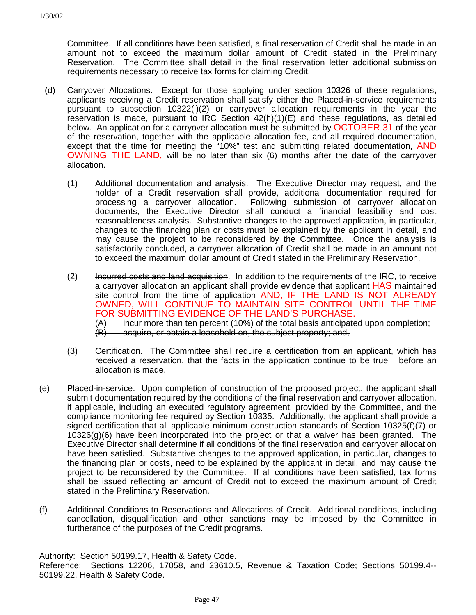Committee. If all conditions have been satisfied, a final reservation of Credit shall be made in an amount not to exceed the maximum dollar amount of Credit stated in the Preliminary Reservation. The Committee shall detail in the final reservation letter additional submission requirements necessary to receive tax forms for claiming Credit.

- (d) Carryover Allocations. Except for those applying under section 10326 of these regulations**,** applicants receiving a Credit reservation shall satisfy either the Placed-in-service requirements pursuant to subsection 10322(i)(2) or carryover allocation requirements in the year the reservation is made, pursuant to IRC Section  $42(h)(1)(E)$  and these regulations, as detailed below. An application for a carryover allocation must be submitted by OCTOBER 31 of the year of the reservation, together with the applicable allocation fee, and all required documentation, except that the time for meeting the "10%" test and submitting related documentation, AND OWNING THE LAND, will be no later than six (6) months after the date of the carryover allocation.
	- (1) Additional documentation and analysis. The Executive Director may request, and the holder of a Credit reservation shall provide, additional documentation required for processing a carryover allocation. Following submission of carryover allocation documents, the Executive Director shall conduct a financial feasibility and cost reasonableness analysis. Substantive changes to the approved application, in particular, changes to the financing plan or costs must be explained by the applicant in detail, and may cause the project to be reconsidered by the Committee. Once the analysis is satisfactorily concluded, a carryover allocation of Credit shall be made in an amount not to exceed the maximum dollar amount of Credit stated in the Preliminary Reservation.
	- (2) Incurred costs and land acquisition. In addition to the requirements of the IRC, to receive a carryover allocation an applicant shall provide evidence that applicant HAS maintained site control from the time of application AND, IF THE LAND IS NOT ALREADY OWNED, WILL CONTINUE TO MAINTAIN SITE CONTROL UNTIL THE TIME FOR SUBMITTING EVIDENCE OF THE LAND'S PURCHASE. (A) incur more than ten percent (10%) of the total basis anticipated upon completion; (B) acquire, or obtain a leasehold on, the subject property; and,
	- (3) Certification. The Committee shall require a certification from an applicant, which has received a reservation, that the facts in the application continue to be true before an allocation is made.
- (e) Placed-in-service. Upon completion of construction of the proposed project, the applicant shall submit documentation required by the conditions of the final reservation and carryover allocation, if applicable, including an executed regulatory agreement, provided by the Committee, and the compliance monitoring fee required by Section 10335. Additionally, the applicant shall provide a signed certification that all applicable minimum construction standards of Section 10325(f)(7) or 10326(g)(6) have been incorporated into the project or that a waiver has been granted. The Executive Director shall determine if all conditions of the final reservation and carryover allocation have been satisfied. Substantive changes to the approved application, in particular, changes to the financing plan or costs, need to be explained by the applicant in detail, and may cause the project to be reconsidered by the Committee. If all conditions have been satisfied, tax forms shall be issued reflecting an amount of Credit not to exceed the maximum amount of Credit stated in the Preliminary Reservation.
- (f) Additional Conditions to Reservations and Allocations of Credit. Additional conditions, including cancellation, disqualification and other sanctions may be imposed by the Committee in furtherance of the purposes of the Credit programs.

Authority: Section 50199.17, Health & Safety Code. Reference: Sections 12206, 17058, and 23610.5, Revenue & Taxation Code; Sections 50199.4-- 50199.22, Health & Safety Code.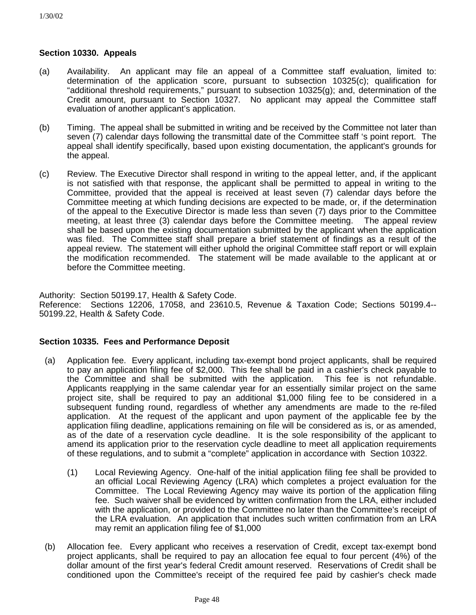### **Section 10330. Appeals**

- (a) Availability. An applicant may file an appeal of a Committee staff evaluation, limited to: determination of the application score, pursuant to subsection 10325(c); qualification for "additional threshold requirements," pursuant to subsection 10325(g); and, determination of the Credit amount, pursuant to Section 10327. No applicant may appeal the Committee staff evaluation of another applicant's application.
- (b) Timing. The appeal shall be submitted in writing and be received by the Committee not later than seven (7) calendar days following the transmittal date of the Committee staff 's point report. The appeal shall identify specifically, based upon existing documentation, the applicant's grounds for the appeal.
- (c) Review. The Executive Director shall respond in writing to the appeal letter, and, if the applicant is not satisfied with that response, the applicant shall be permitted to appeal in writing to the Committee, provided that the appeal is received at least seven (7) calendar days before the Committee meeting at which funding decisions are expected to be made, or, if the determination of the appeal to the Executive Director is made less than seven (7) days prior to the Committee meeting, at least three (3) calendar days before the Committee meeting. The appeal review shall be based upon the existing documentation submitted by the applicant when the application was filed. The Committee staff shall prepare a brief statement of findings as a result of the appeal review. The statement will either uphold the original Committee staff report or will explain the modification recommended. The statement will be made available to the applicant at or before the Committee meeting.

Authority: Section 50199.17, Health & Safety Code.

Reference: Sections 12206, 17058, and 23610.5, Revenue & Taxation Code; Sections 50199.4-- 50199.22, Health & Safety Code.

# **Section 10335. Fees and Performance Deposit**

- (a) Application fee. Every applicant, including tax-exempt bond project applicants, shall be required to pay an application filing fee of \$2,000. This fee shall be paid in a cashier's check payable to the Committee and shall be submitted with the application. This fee is not refundable. Applicants reapplying in the same calendar year for an essentially similar project on the same project site, shall be required to pay an additional \$1,000 filing fee to be considered in a subsequent funding round, regardless of whether any amendments are made to the re-filed application. At the request of the applicant and upon payment of the applicable fee by the application filing deadline, applications remaining on file will be considered as is, or as amended, as of the date of a reservation cycle deadline. It is the sole responsibility of the applicant to amend its application prior to the reservation cycle deadline to meet all application requirements of these regulations, and to submit a "complete" application in accordance with Section 10322.
	- (1) Local Reviewing Agency. One-half of the initial application filing fee shall be provided to an official Local Reviewing Agency (LRA) which completes a project evaluation for the Committee. The Local Reviewing Agency may waive its portion of the application filing fee. Such waiver shall be evidenced by written confirmation from the LRA, either included with the application, or provided to the Committee no later than the Committee's receipt of the LRA evaluation. An application that includes such written confirmation from an LRA may remit an application filing fee of \$1,000
- (b) Allocation fee. Every applicant who receives a reservation of Credit, except tax-exempt bond project applicants, shall be required to pay an allocation fee equal to four percent (4%) of the dollar amount of the first year's federal Credit amount reserved. Reservations of Credit shall be conditioned upon the Committee's receipt of the required fee paid by cashier's check made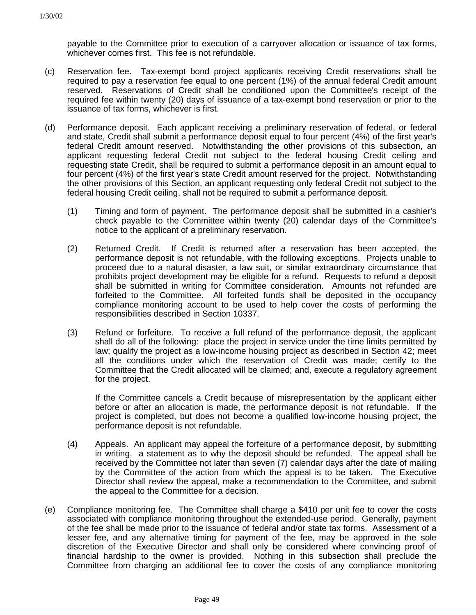payable to the Committee prior to execution of a carryover allocation or issuance of tax forms, whichever comes first. This fee is not refundable.

- (c) Reservation fee. Tax-exempt bond project applicants receiving Credit reservations shall be required to pay a reservation fee equal to one percent (1%) of the annual federal Credit amount reserved. Reservations of Credit shall be conditioned upon the Committee's receipt of the required fee within twenty (20) days of issuance of a tax-exempt bond reservation or prior to the issuance of tax forms, whichever is first.
- (d) Performance deposit. Each applicant receiving a preliminary reservation of federal, or federal and state, Credit shall submit a performance deposit equal to four percent (4%) of the first year's federal Credit amount reserved. Notwithstanding the other provisions of this subsection, an applicant requesting federal Credit not subject to the federal housing Credit ceiling and requesting state Credit, shall be required to submit a performance deposit in an amount equal to four percent (4%) of the first year's state Credit amount reserved for the project. Notwithstanding the other provisions of this Section, an applicant requesting only federal Credit not subject to the federal housing Credit ceiling, shall not be required to submit a performance deposit.
	- (1) Timing and form of payment. The performance deposit shall be submitted in a cashier's check payable to the Committee within twenty (20) calendar days of the Committee's notice to the applicant of a preliminary reservation.
	- (2) Returned Credit. If Credit is returned after a reservation has been accepted, the performance deposit is not refundable, with the following exceptions. Projects unable to proceed due to a natural disaster, a law suit, or similar extraordinary circumstance that prohibits project development may be eligible for a refund. Requests to refund a deposit shall be submitted in writing for Committee consideration. Amounts not refunded are forfeited to the Committee. All forfeited funds shall be deposited in the occupancy compliance monitoring account to be used to help cover the costs of performing the responsibilities described in Section 10337.
	- (3) Refund or forfeiture. To receive a full refund of the performance deposit, the applicant shall do all of the following: place the project in service under the time limits permitted by law; qualify the project as a low-income housing project as described in Section 42; meet all the conditions under which the reservation of Credit was made; certify to the Committee that the Credit allocated will be claimed; and, execute a regulatory agreement for the project.

If the Committee cancels a Credit because of misrepresentation by the applicant either before or after an allocation is made, the performance deposit is not refundable. If the project is completed, but does not become a qualified low-income housing project, the performance deposit is not refundable.

- (4) Appeals. An applicant may appeal the forfeiture of a performance deposit, by submitting in writing, a statement as to why the deposit should be refunded. The appeal shall be received by the Committee not later than seven (7) calendar days after the date of mailing by the Committee of the action from which the appeal is to be taken. The Executive Director shall review the appeal, make a recommendation to the Committee, and submit the appeal to the Committee for a decision.
- (e) Compliance monitoring fee. The Committee shall charge a \$410 per unit fee to cover the costs associated with compliance monitoring throughout the extended-use period. Generally, payment of the fee shall be made prior to the issuance of federal and/or state tax forms. Assessment of a lesser fee, and any alternative timing for payment of the fee, may be approved in the sole discretion of the Executive Director and shall only be considered where convincing proof of financial hardship to the owner is provided. Nothing in this subsection shall preclude the Committee from charging an additional fee to cover the costs of any compliance monitoring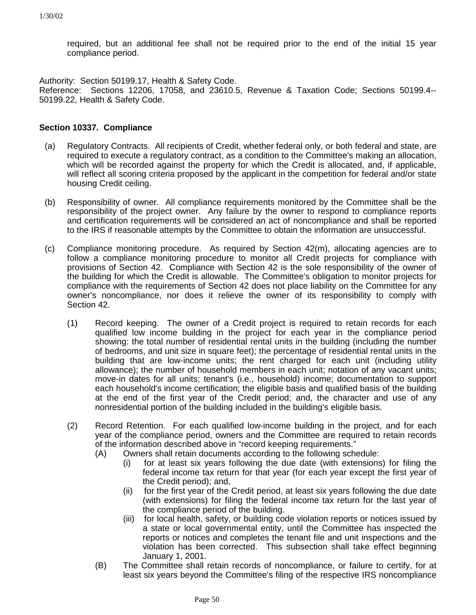required, but an additional fee shall not be required prior to the end of the initial 15 year compliance period.

Authority: Section 50199.17, Health & Safety Code.

Reference: Sections 12206, 17058, and 23610.5, Revenue & Taxation Code; Sections 50199.4-- 50199.22, Health & Safety Code.

### **Section 10337. Compliance**

- (a) Regulatory Contracts. All recipients of Credit, whether federal only, or both federal and state, are required to execute a regulatory contract, as a condition to the Committee's making an allocation, which will be recorded against the property for which the Credit is allocated, and, if applicable, will reflect all scoring criteria proposed by the applicant in the competition for federal and/or state housing Credit ceiling.
- (b) Responsibility of owner. All compliance requirements monitored by the Committee shall be the responsibility of the project owner. Any failure by the owner to respond to compliance reports and certification requirements will be considered an act of noncompliance and shall be reported to the IRS if reasonable attempts by the Committee to obtain the information are unsuccessful.
- (c) Compliance monitoring procedure. As required by Section 42(m), allocating agencies are to follow a compliance monitoring procedure to monitor all Credit projects for compliance with provisions of Section 42. Compliance with Section 42 is the sole responsibility of the owner of the building for which the Credit is allowable. The Committee's obligation to monitor projects for compliance with the requirements of Section 42 does not place liability on the Committee for any owner's noncompliance, nor does it relieve the owner of its responsibility to comply with Section 42.
	- (1) Record keeping. The owner of a Credit project is required to retain records for each qualified low income building in the project for each year in the compliance period showing: the total number of residential rental units in the building (including the number of bedrooms, and unit size in square feet); the percentage of residential rental units in the building that are low-income units; the rent charged for each unit (including utility allowance); the number of household members in each unit; notation of any vacant units; move-in dates for all units; tenant's (i.e., household) income; documentation to support each household's income certification; the eligible basis and qualified basis of the building at the end of the first year of the Credit period; and, the character and use of any nonresidential portion of the building included in the building's eligible basis.
	- (2) Record Retention. For each qualified low-income building in the project, and for each year of the compliance period, owners and the Committee are required to retain records of the information described above in "record keeping requirements."
		- (A) Owners shall retain documents according to the following schedule:
			- (i) for at least six years following the due date (with extensions) for filing the federal income tax return for that year (for each year except the first year of the Credit period); and,
			- (ii) for the first year of the Credit period, at least six years following the due date (with extensions) for filing the federal income tax return for the last year of the compliance period of the building.
			- (iii) for local health, safety, or building code violation reports or notices issued by a state or local governmental entity, until the Committee has inspected the reports or notices and completes the tenant file and unit inspections and the violation has been corrected. This subsection shall take effect beginning January 1, 2001.
		- (B) The Committee shall retain records of noncompliance, or failure to certify, for at least six years beyond the Committee's filing of the respective IRS noncompliance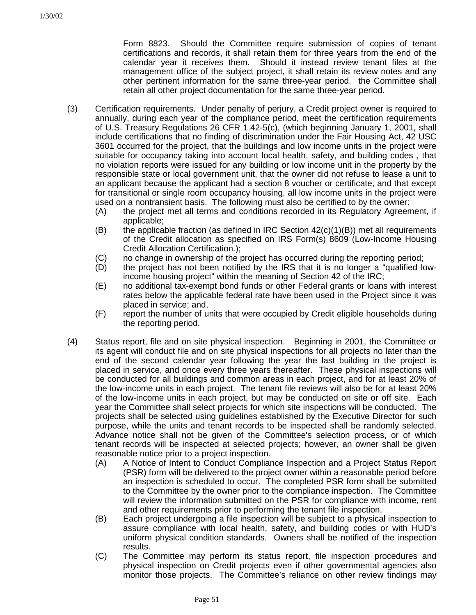Form 8823. Should the Committee require submission of copies of tenant certifications and records, it shall retain them for three years from the end of the calendar year it receives them. Should it instead review tenant files at the management office of the subject project, it shall retain its review notes and any other pertinent information for the same three-year period. the Committee shall retain all other project documentation for the same three-year period.

- (3) Certification requirements. Under penalty of perjury, a Credit project owner is required to annually, during each year of the compliance period, meet the certification requirements of U.S. Treasury Regulations 26 CFR 1.42-5(c), (which beginning January 1, 2001, shall include certifications that no finding of discrimination under the Fair Housing Act, 42 USC 3601 occurred for the project, that the buildings and low income units in the project were suitable for occupancy taking into account local health, safety, and building codes , that no violation reports were issued for any building or low income unit in the property by the responsible state or local government unit, that the owner did not refuse to lease a unit to an applicant because the applicant had a section 8 voucher or certificate, and that except for transitional or single room occupancy housing, all low income units in the project were used on a nontransient basis. The following must also be certified to by the owner:
	- (A) the project met all terms and conditions recorded in its Regulatory Agreement, if applicable;
	- (B) the applicable fraction (as defined in IRC Section  $42(c)(1)(B)$ ) met all requirements of the Credit allocation as specified on IRS Form(s) 8609 (Low-Income Housing Credit Allocation Certification.);
	- (C) no change in ownership of the project has occurred during the reporting period;
	- (D) the project has not been notified by the IRS that it is no longer a "qualified lowincome housing project" within the meaning of Section 42 of the IRC;
	- (E) no additional tax-exempt bond funds or other Federal grants or loans with interest rates below the applicable federal rate have been used in the Project since it was placed in service; and,
	- (F) report the number of units that were occupied by Credit eligible households during the reporting period.
- (4) Status report, file and on site physical inspection. Beginning in 2001, the Committee or its agent will conduct file and on site physical inspections for all projects no later than the end of the second calendar year following the year the last building in the project is placed in service, and once every three years thereafter. These physical inspections will be conducted for all buildings and common areas in each project, and for at least 20% of the low-income units in each project. The tenant file reviews will also be for at least 20% of the low-income units in each project, but may be conducted on site or off site. Each year the Committee shall select projects for which site inspections will be conducted. The projects shall be selected using guidelines established by the Executive Director for such purpose, while the units and tenant records to be inspected shall be randomly selected. Advance notice shall not be given of the Committee's selection process, or of which tenant records will be inspected at selected projects; however, an owner shall be given reasonable notice prior to a project inspection.
	- (A) A Notice of Intent to Conduct Compliance Inspection and a Project Status Report (PSR) form will be delivered to the project owner within a reasonable period before an inspection is scheduled to occur. The completed PSR form shall be submitted to the Committee by the owner prior to the compliance inspection. The Committee will review the information submitted on the PSR for compliance with income, rent and other requirements prior to performing the tenant file inspection.
	- (B) Each project undergoing a file inspection will be subject to a physical inspection to assure compliance with local health, safety, and building codes or with HUD's uniform physical condition standards. Owners shall be notified of the inspection results.
	- (C) The Committee may perform its status report, file inspection procedures and physical inspection on Credit projects even if other governmental agencies also monitor those projects. The Committee's reliance on other review findings may